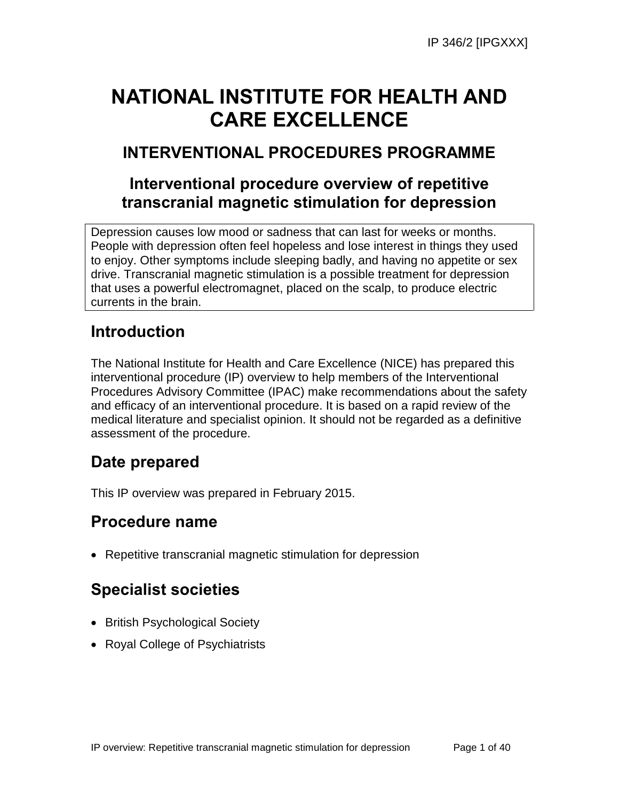# **NATIONAL INSTITUTE FOR HEALTH AND CARE EXCELLENCE**

# **INTERVENTIONAL PROCEDURES PROGRAMME**

# **Interventional procedure overview of repetitive transcranial magnetic stimulation for depression**

Depression causes low mood or sadness that can last for weeks or months. People with depression often feel hopeless and lose interest in things they used to enjoy. Other symptoms include sleeping badly, and having no appetite or sex drive. Transcranial magnetic stimulation is a possible treatment for depression that uses a powerful electromagnet, placed on the scalp, to produce electric currents in the brain.

# **Introduction**

The National Institute for Health and Care Excellence (NICE) has prepared this interventional procedure (IP) overview to help members of the Interventional Procedures Advisory Committee (IPAC) make recommendations about the safety and efficacy of an interventional procedure. It is based on a rapid review of the medical literature and specialist opinion. It should not be regarded as a definitive assessment of the procedure.

# **Date prepared**

This IP overview was prepared in February 2015.

# **Procedure name**

Repetitive transcranial magnetic stimulation for depression

# **Specialist societies**

- British Psychological Society
- Royal College of Psychiatrists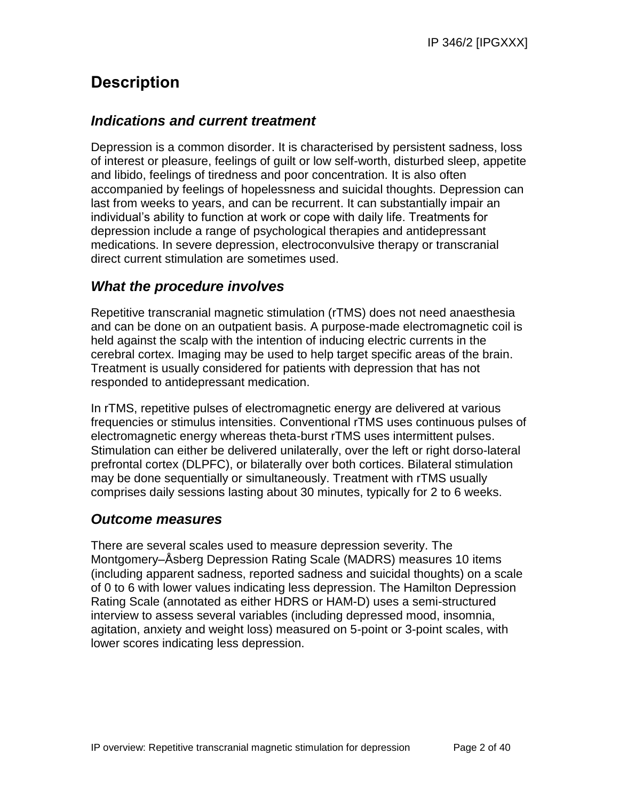# **Description**

## *Indications and current treatment*

Depression is a common disorder. It is characterised by persistent sadness, loss of interest or pleasure, feelings of guilt or low self-worth, disturbed sleep, appetite and libido, feelings of tiredness and poor concentration. It is also often accompanied by feelings of hopelessness and suicidal thoughts. Depression can last from weeks to years, and can be recurrent. It can substantially impair an individual's ability to function at work or cope with daily life. Treatments for depression include a range of psychological therapies and antidepressant medications. In severe depression, electroconvulsive therapy or transcranial direct current stimulation are sometimes used.

## *What the procedure involves*

Repetitive transcranial magnetic stimulation (rTMS) does not need anaesthesia and can be done on an outpatient basis. A purpose-made electromagnetic coil is held against the scalp with the intention of inducing electric currents in the cerebral cortex. Imaging may be used to help target specific areas of the brain. Treatment is usually considered for patients with depression that has not responded to antidepressant medication.

In rTMS, repetitive pulses of electromagnetic energy are delivered at various frequencies or stimulus intensities. Conventional rTMS uses continuous pulses of electromagnetic energy whereas theta-burst rTMS uses intermittent pulses. Stimulation can either be delivered unilaterally, over the left or right dorso-lateral prefrontal cortex (DLPFC), or bilaterally over both cortices. Bilateral stimulation may be done sequentially or simultaneously. Treatment with rTMS usually comprises daily sessions lasting about 30 minutes, typically for 2 to 6 weeks.

## *Outcome measures*

There are several scales used to measure depression severity. The Montgomery–Åsberg Depression Rating Scale (MADRS) measures 10 items (including apparent sadness, reported sadness and suicidal thoughts) on a scale of 0 to 6 with lower values indicating less depression. The Hamilton Depression Rating Scale (annotated as either HDRS or HAM-D) uses a semi-structured interview to assess several variables (including depressed mood, insomnia, agitation, anxiety and weight loss) measured on 5-point or 3-point scales, with lower scores indicating less depression.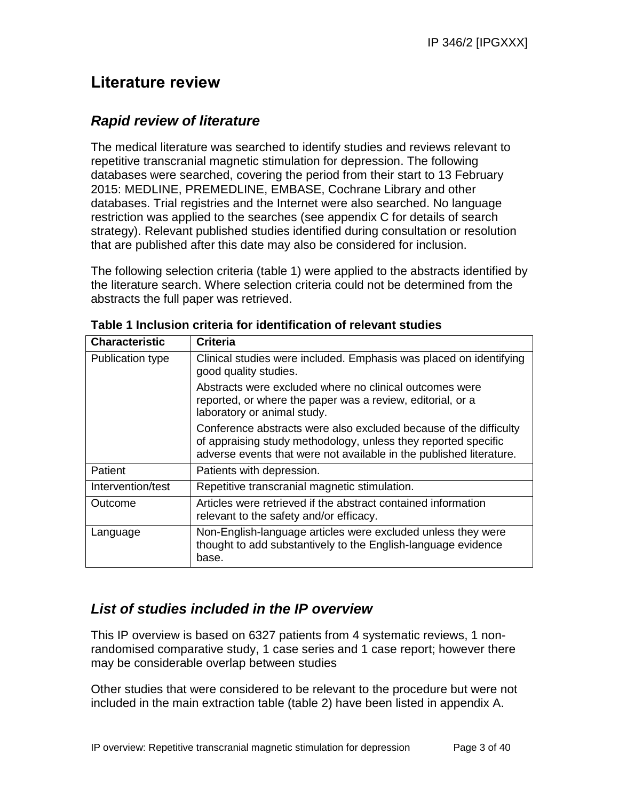# **Literature review**

## *Rapid review of literature*

The medical literature was searched to identify studies and reviews relevant to repetitive transcranial magnetic stimulation for depression. The following databases were searched, covering the period from their start to 13 February 2015: MEDLINE, PREMEDLINE, EMBASE, Cochrane Library and other databases. Trial registries and the Internet were also searched. No language restriction was applied to the searches (see appendix C for details of search strategy). Relevant published studies identified during consultation or resolution that are published after this date may also be considered for inclusion.

The following selection criteria (table 1) were applied to the abstracts identified by the literature search. Where selection criteria could not be determined from the abstracts the full paper was retrieved.

| <b>Characteristic</b> | <b>Criteria</b>                                                                                                                                                                                            |
|-----------------------|------------------------------------------------------------------------------------------------------------------------------------------------------------------------------------------------------------|
| Publication type      | Clinical studies were included. Emphasis was placed on identifying<br>good quality studies.                                                                                                                |
|                       | Abstracts were excluded where no clinical outcomes were<br>reported, or where the paper was a review, editorial, or a<br>laboratory or animal study.                                                       |
|                       | Conference abstracts were also excluded because of the difficulty<br>of appraising study methodology, unless they reported specific<br>adverse events that were not available in the published literature. |
| <b>Patient</b>        | Patients with depression.                                                                                                                                                                                  |
| Intervention/test     | Repetitive transcranial magnetic stimulation.                                                                                                                                                              |
| Outcome               | Articles were retrieved if the abstract contained information<br>relevant to the safety and/or efficacy.                                                                                                   |
| Language              | Non-English-language articles were excluded unless they were<br>thought to add substantively to the English-language evidence<br>base.                                                                     |

**Table 1 Inclusion criteria for identification of relevant studies**

## *List of studies included in the IP overview*

This IP overview is based on 6327 patients from 4 systematic reviews, 1 nonrandomised comparative study, 1 case series and 1 case report; however there may be considerable overlap between studies

Other studies that were considered to be relevant to the procedure but were not included in the main extraction table (table 2) have been listed in appendix A.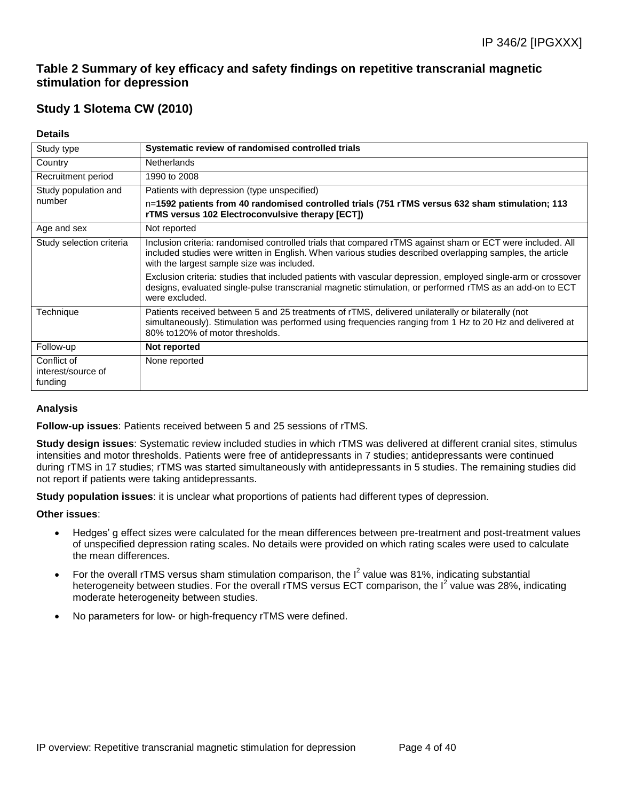## **Table 2 Summary of key efficacy and safety findings on repetitive transcranial magnetic stimulation for depression**

## **Study 1 Slotema CW (2010)**

### **Details**

| Study type                                   | Systematic review of randomised controlled trials                                                                                                                                                                                                                     |
|----------------------------------------------|-----------------------------------------------------------------------------------------------------------------------------------------------------------------------------------------------------------------------------------------------------------------------|
| Country                                      | <b>Netherlands</b>                                                                                                                                                                                                                                                    |
| Recruitment period                           | 1990 to 2008                                                                                                                                                                                                                                                          |
| Study population and                         | Patients with depression (type unspecified)                                                                                                                                                                                                                           |
| number                                       | n=1592 patients from 40 randomised controlled trials (751 rTMS versus 632 sham stimulation; 113<br>rTMS versus 102 Electroconvulsive therapy [ECT])                                                                                                                   |
| Age and sex                                  | Not reported                                                                                                                                                                                                                                                          |
| Study selection criteria                     | Inclusion criteria: randomised controlled trials that compared rTMS against sham or ECT were included. All<br>included studies were written in English. When various studies described overlapping samples, the article<br>with the largest sample size was included. |
|                                              | Exclusion criteria: studies that included patients with vascular depression, employed single-arm or crossover<br>designs, evaluated single-pulse transcranial magnetic stimulation, or performed rTMS as an add-on to ECT<br>were excluded.                           |
| Technique                                    | Patients received between 5 and 25 treatments of rTMS, delivered unilaterally or bilaterally (not<br>simultaneously). Stimulation was performed using frequencies ranging from 1 Hz to 20 Hz and delivered at<br>80% to120% of motor thresholds.                      |
| Follow-up                                    | Not reported                                                                                                                                                                                                                                                          |
| Conflict of<br>interest/source of<br>funding | None reported                                                                                                                                                                                                                                                         |

### **Analysis**

**Follow-up issues**: Patients received between 5 and 25 sessions of rTMS.

**Study design issues**: Systematic review included studies in which rTMS was delivered at different cranial sites, stimulus intensities and motor thresholds. Patients were free of antidepressants in 7 studies; antidepressants were continued during rTMS in 17 studies; rTMS was started simultaneously with antidepressants in 5 studies. The remaining studies did not report if patients were taking antidepressants.

**Study population issues**: it is unclear what proportions of patients had different types of depression.

- Hedges' g effect sizes were calculated for the mean differences between pre-treatment and post-treatment values of unspecified depression rating scales. No details were provided on which rating scales were used to calculate the mean differences.
- For the overall rTMS versus sham stimulation comparison, the  $I^2$  value was 81%, indicating substantial heterogeneity between studies. For the overall rTMS versus ECT comparison, the  $I^2$  value was 28%, indicating moderate heterogeneity between studies.
- No parameters for low- or high-frequency rTMS were defined.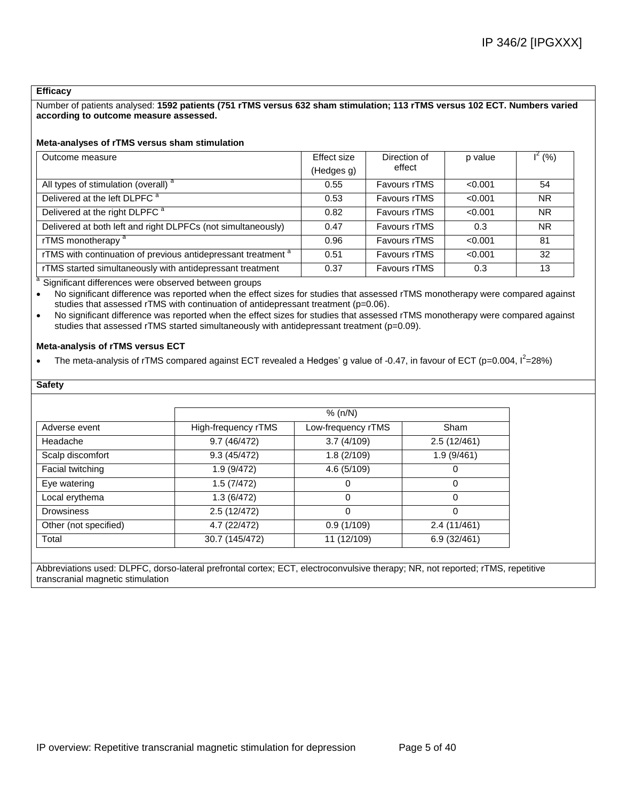#### **Efficacy**

Number of patients analysed: **1592 patients (751 rTMS versus 632 sham stimulation; 113 rTMS versus 102 ECT. Numbers varied according to outcome measure assessed.**

#### **Meta-analyses of rTMS versus sham stimulation**

| Outcome measure                                                          | Effect size | Direction of        | p value | $I^2(% )$ |
|--------------------------------------------------------------------------|-------------|---------------------|---------|-----------|
|                                                                          | (Hedges g)  | effect              |         |           |
| All types of stimulation (overall) <sup>a</sup>                          | 0.55        | Favours rTMS        | < 0.001 | 54        |
| Delivered at the left DLPFC <sup>a</sup>                                 | 0.53        | Favours rTMS        | < 0.001 | <b>NR</b> |
| Delivered at the right DLPFC <sup>a</sup>                                | 0.82        | Favours rTMS        | < 0.001 | <b>NR</b> |
| Delivered at both left and right DLPFCs (not simultaneously)             | 0.47        | Favours rTMS        | 0.3     | NR.       |
| rTMS monotherapy <sup>a</sup>                                            | 0.96        | Favours rTMS        | < 0.001 | 81        |
| rTMS with continuation of previous antidepressant treatment <sup>a</sup> | 0.51        | <b>Favours rTMS</b> | < 0.001 | 32        |
| rTMS started simultaneously with antidepressant treatment                | 0.37        | <b>Favours rTMS</b> | 0.3     | 13        |

<sup>a</sup> Significant differences were observed between groups

 No significant difference was reported when the effect sizes for studies that assessed rTMS monotherapy were compared against studies that assessed rTMS with continuation of antidepressant treatment (p=0.06).

 No significant difference was reported when the effect sizes for studies that assessed rTMS monotherapy were compared against studies that assessed rTMS started simultaneously with antidepressant treatment (p=0.09).

#### **Meta-analysis of rTMS versus ECT**

• The meta-analysis of rTMS compared against ECT revealed a Hedges' g value of -0.47, in favour of ECT (p=0.004,  $I^2$ =28%)

### **Safety**

|                       | % $(n/N)$           |                    |             |  |  |
|-----------------------|---------------------|--------------------|-------------|--|--|
| Adverse event         | High-frequency rTMS | Low-frequency rTMS | Sham        |  |  |
| Headache              | 9.7(46/472)         | 3.7(4/109)         | 2.5(12/461) |  |  |
| Scalp discomfort      | 9.3(45/472)         | 1.8(2/109)         | 1.9(9/461)  |  |  |
| Facial twitching      | 1.9(9/472)          | 4.6 (5/109)        | 0           |  |  |
| Eye watering          | 1.5(7/472)          |                    | 0           |  |  |
| Local erythema        | 1.3(6/472)          | 0                  | $\Omega$    |  |  |
| <b>Drowsiness</b>     | 2.5(12/472)         | 0                  | 0           |  |  |
| Other (not specified) | 4.7 (22/472)        | 0.9(1/109)         | 2.4(11/461) |  |  |
| Total                 | 30.7 (145/472)      | 11 (12/109)        | 6.9(32/461) |  |  |

Abbreviations used: DLPFC, dorso-lateral prefrontal cortex; ECT, electroconvulsive therapy; NR, not reported; rTMS, repetitive transcranial magnetic stimulation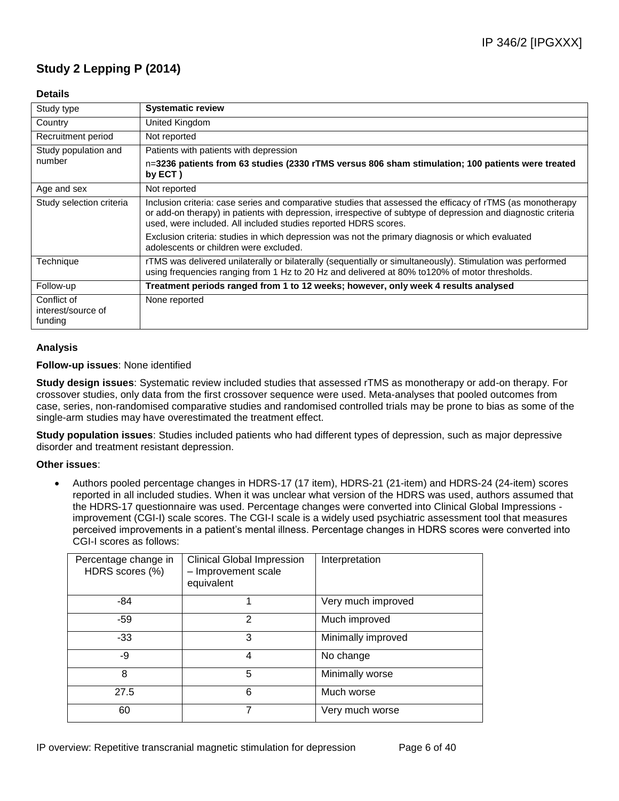## **Study 2 Lepping P (2014)**

### **Details**

| Study type                                   | <b>Systematic review</b>                                                                                                                                                                                                                                                                       |
|----------------------------------------------|------------------------------------------------------------------------------------------------------------------------------------------------------------------------------------------------------------------------------------------------------------------------------------------------|
| Country                                      | United Kingdom                                                                                                                                                                                                                                                                                 |
| Recruitment period                           | Not reported                                                                                                                                                                                                                                                                                   |
| Study population and                         | Patients with patients with depression                                                                                                                                                                                                                                                         |
| number                                       | n=3236 patients from 63 studies (2330 rTMS versus 806 sham stimulation; 100 patients were treated<br>by $ECT$ )                                                                                                                                                                                |
| Age and sex                                  | Not reported                                                                                                                                                                                                                                                                                   |
| Study selection criteria                     | Inclusion criteria: case series and comparative studies that assessed the efficacy of rTMS (as monotherapy<br>or add-on therapy) in patients with depression, irrespective of subtype of depression and diagnostic criteria<br>used, were included. All included studies reported HDRS scores. |
|                                              | Exclusion criteria: studies in which depression was not the primary diagnosis or which evaluated<br>adolescents or children were excluded.                                                                                                                                                     |
| Technique                                    | rTMS was delivered unilaterally or bilaterally (sequentially or simultaneously). Stimulation was performed<br>using frequencies ranging from 1 Hz to 20 Hz and delivered at 80% to 120% of motor thresholds.                                                                                   |
| Follow-up                                    | Treatment periods ranged from 1 to 12 weeks; however, only week 4 results analysed                                                                                                                                                                                                             |
| Conflict of<br>interest/source of<br>funding | None reported                                                                                                                                                                                                                                                                                  |

### **Analysis**

#### **Follow-up issues**: None identified

**Study design issues**: Systematic review included studies that assessed rTMS as monotherapy or add-on therapy. For crossover studies, only data from the first crossover sequence were used. Meta-analyses that pooled outcomes from case, series, non-randomised comparative studies and randomised controlled trials may be prone to bias as some of the single-arm studies may have overestimated the treatment effect.

**Study population issues**: Studies included patients who had different types of depression, such as major depressive disorder and treatment resistant depression.

#### **Other issues**:

 Authors pooled percentage changes in HDRS-17 (17 item), HDRS-21 (21-item) and HDRS-24 (24-item) scores reported in all included studies. When it was unclear what version of the HDRS was used, authors assumed that the HDRS-17 questionnaire was used. Percentage changes were converted into Clinical Global Impressions improvement (CGI-I) scale scores. The CGI-I scale is a widely used psychiatric assessment tool that measures perceived improvements in a patient's mental illness. Percentage changes in HDRS scores were converted into CGI-I scores as follows:

| Percentage change in<br>HDRS scores (%) | <b>Clinical Global Impression</b><br>- Improvement scale<br>equivalent | Interpretation     |
|-----------------------------------------|------------------------------------------------------------------------|--------------------|
| -84                                     |                                                                        | Very much improved |
| $-59$                                   | 2                                                                      | Much improved      |
| $-33$                                   | 3                                                                      | Minimally improved |
| -9                                      | 4                                                                      | No change          |
| 8                                       | 5                                                                      | Minimally worse    |
| 27.5                                    | 6                                                                      | Much worse         |
| 60                                      | 7                                                                      | Very much worse    |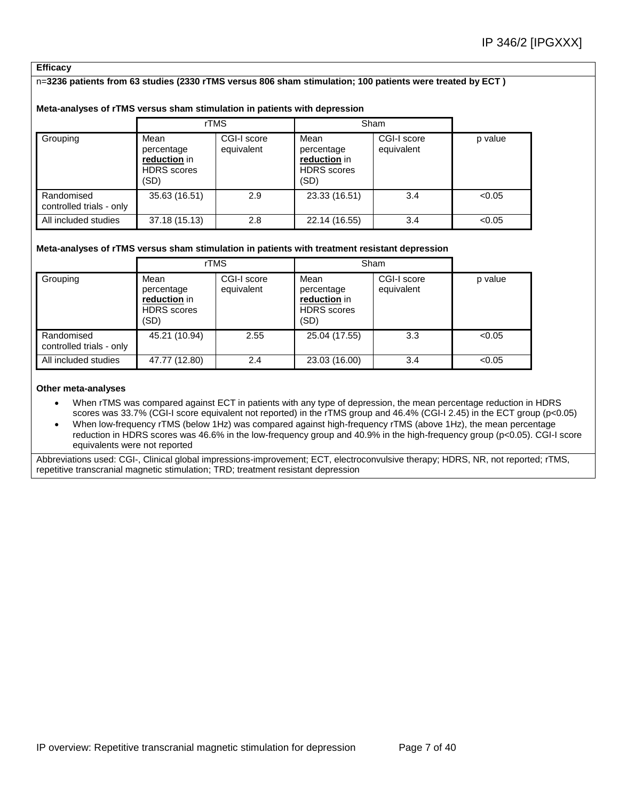### **Efficacy**

#### n=**3236 patients from 63 studies (2330 rTMS versus 806 sham stimulation; 100 patients were treated by ECT )**

#### **Meta-analyses of rTMS versus sham stimulation in patients with depression**

|                                        |                                                                  | rTMS                      |                                                                  | Sham                      |         |
|----------------------------------------|------------------------------------------------------------------|---------------------------|------------------------------------------------------------------|---------------------------|---------|
| Grouping                               | Mean<br>percentage<br>reduction in<br><b>HDRS</b> scores<br>(SD) | CGI-I score<br>equivalent | Mean<br>percentage<br>reduction in<br><b>HDRS</b> scores<br>(SD) | CGI-I score<br>equivalent | p value |
| Randomised<br>controlled trials - only | 35.63 (16.51)                                                    | 2.9                       | 23.33 (16.51)                                                    | 3.4                       | < 0.05  |
| All included studies                   | 37.18 (15.13)                                                    | 2.8                       | 22.14 (16.55)                                                    | 3.4                       | < 0.05  |

#### **Meta-analyses of rTMS versus sham stimulation in patients with treatment resistant depression**

|                                        | rTMS                                                             |                           | Sham                                                             |                           |         |
|----------------------------------------|------------------------------------------------------------------|---------------------------|------------------------------------------------------------------|---------------------------|---------|
| Grouping                               | Mean<br>percentage<br>reduction in<br><b>HDRS</b> scores<br>(SD) | CGI-I score<br>equivalent | Mean<br>percentage<br>reduction in<br><b>HDRS</b> scores<br>(SD) | CGI-I score<br>equivalent | p value |
| Randomised<br>controlled trials - only | 45.21 (10.94)                                                    | 2.55                      | 25.04 (17.55)                                                    | 3.3                       | < 0.05  |
| All included studies                   | 47.77 (12.80)                                                    | 2.4                       | 23.03 (16.00)                                                    | 3.4                       | < 0.05  |

#### **Other meta-analyses**

 When rTMS was compared against ECT in patients with any type of depression, the mean percentage reduction in HDRS scores was 33.7% (CGI-I score equivalent not reported) in the rTMS group and 46.4% (CGI-I 2.45) in the ECT group (p<0.05)

 When low-frequency rTMS (below 1Hz) was compared against high-frequency rTMS (above 1Hz), the mean percentage reduction in HDRS scores was 46.6% in the low-frequency group and 40.9% in the high-frequency group (p<0.05). CGI-I score equivalents were not reported

Abbreviations used: CGI-, Clinical global impressions-improvement; ECT, electroconvulsive therapy; HDRS, NR, not reported; rTMS, repetitive transcranial magnetic stimulation; TRD; treatment resistant depression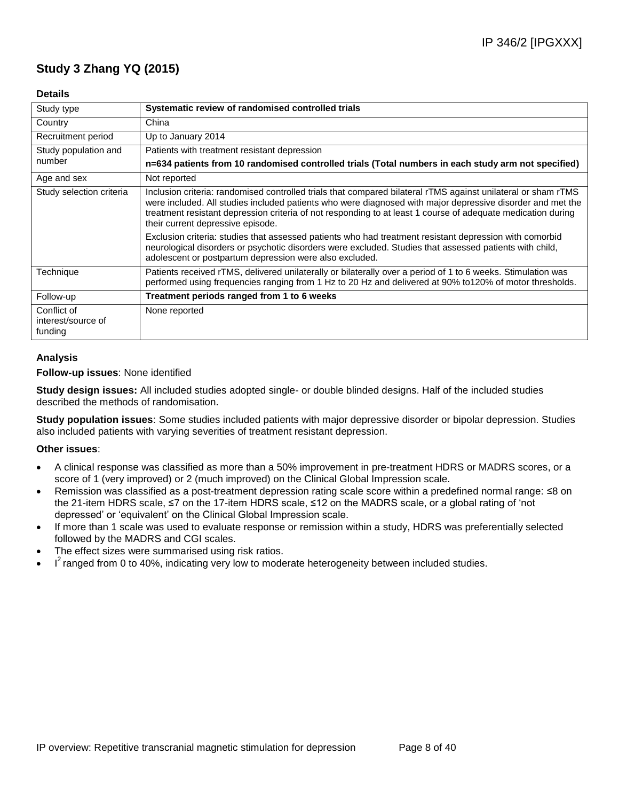## **Study 3 Zhang YQ (2015)**

### **Details**

| Study type                                   | Systematic review of randomised controlled trials                                                                                                                                                                                                                                                                                                                                |
|----------------------------------------------|----------------------------------------------------------------------------------------------------------------------------------------------------------------------------------------------------------------------------------------------------------------------------------------------------------------------------------------------------------------------------------|
| Country                                      | China                                                                                                                                                                                                                                                                                                                                                                            |
| Recruitment period                           | Up to January 2014                                                                                                                                                                                                                                                                                                                                                               |
| Study population and                         | Patients with treatment resistant depression                                                                                                                                                                                                                                                                                                                                     |
| number                                       | n=634 patients from 10 randomised controlled trials (Total numbers in each study arm not specified)                                                                                                                                                                                                                                                                              |
| Age and sex                                  | Not reported                                                                                                                                                                                                                                                                                                                                                                     |
| Study selection criteria                     | Inclusion criteria: randomised controlled trials that compared bilateral rTMS against unilateral or sham rTMS<br>were included. All studies included patients who were diagnosed with major depressive disorder and met the<br>treatment resistant depression criteria of not responding to at least 1 course of adequate medication during<br>their current depressive episode. |
|                                              | Exclusion criteria: studies that assessed patients who had treatment resistant depression with comorbid<br>neurological disorders or psychotic disorders were excluded. Studies that assessed patients with child,<br>adolescent or postpartum depression were also excluded.                                                                                                    |
| Technique                                    | Patients received rTMS, delivered unilaterally or bilaterally over a period of 1 to 6 weeks. Stimulation was<br>performed using frequencies ranging from 1 Hz to 20 Hz and delivered at 90% to 120% of motor thresholds.                                                                                                                                                         |
| Follow-up                                    | Treatment periods ranged from 1 to 6 weeks                                                                                                                                                                                                                                                                                                                                       |
| Conflict of<br>interest/source of<br>funding | None reported                                                                                                                                                                                                                                                                                                                                                                    |

### **Analysis**

### **Follow-up issues**: None identified

**Study design issues:** All included studies adopted single- or double blinded designs. Half of the included studies described the methods of randomisation.

**Study population issues**: Some studies included patients with major depressive disorder or bipolar depression. Studies also included patients with varying severities of treatment resistant depression.

- A clinical response was classified as more than a 50% improvement in pre-treatment HDRS or MADRS scores, or a score of 1 (very improved) or 2 (much improved) on the Clinical Global Impression scale.
- Remission was classified as a post-treatment depression rating scale score within a predefined normal range: ≤8 on the 21-item HDRS scale, ≤7 on the 17-item HDRS scale, ≤12 on the MADRS scale, or a global rating of 'not depressed' or 'equivalent' on the Clinical Global Impression scale.
- If more than 1 scale was used to evaluate response or remission within a study, HDRS was preferentially selected followed by the MADRS and CGI scales.
- The effect sizes were summarised using risk ratios.
- $I^2$  ranged from 0 to 40%, indicating very low to moderate heterogeneity between included studies.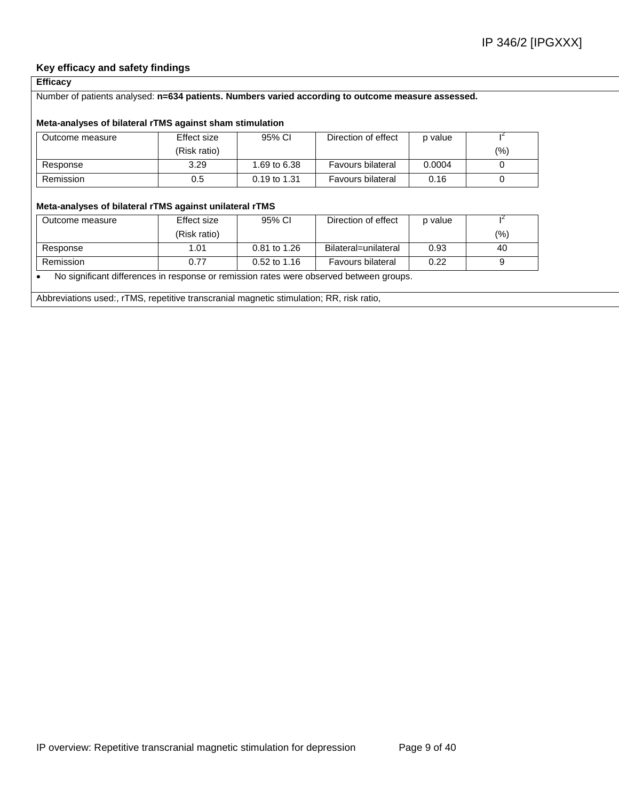### **Key efficacy and safety findings**

### **Efficacy**

#### Number of patients analysed: **n=634 patients. Numbers varied according to outcome measure assessed.**

#### **Meta-analyses of bilateral rTMS against sham stimulation**

| Outcome measure | Effect size  | 95% CI       | Direction of effect      | p value |     |
|-----------------|--------------|--------------|--------------------------|---------|-----|
|                 | (Risk ratio) |              |                          |         | (%) |
| Response        | 3.29         | 1.69 to 6.38 | <b>Favours bilateral</b> | 0.0004  |     |
| Remission       | 0.5          | 0.19 to 1.31 | Favours bilateral        | 0.16    |     |

#### **Meta-analyses of bilateral rTMS against unilateral rTMS**

| Outcome measure | Effect size  | 95% CI         | Direction of effect  | p value |      |
|-----------------|--------------|----------------|----------------------|---------|------|
|                 | (Risk ratio) |                |                      |         | (% ) |
| Response        | 1.01         | 0.81 to 1.26   | Bilateral=unilateral | 0.93    | 40   |
| Remission       | 0.77         | $0.52$ to 1.16 | Favours bilateral    | 0.22    |      |

No significant differences in response or remission rates were observed between groups.

Abbreviations used:, rTMS, repetitive transcranial magnetic stimulation; RR, risk ratio,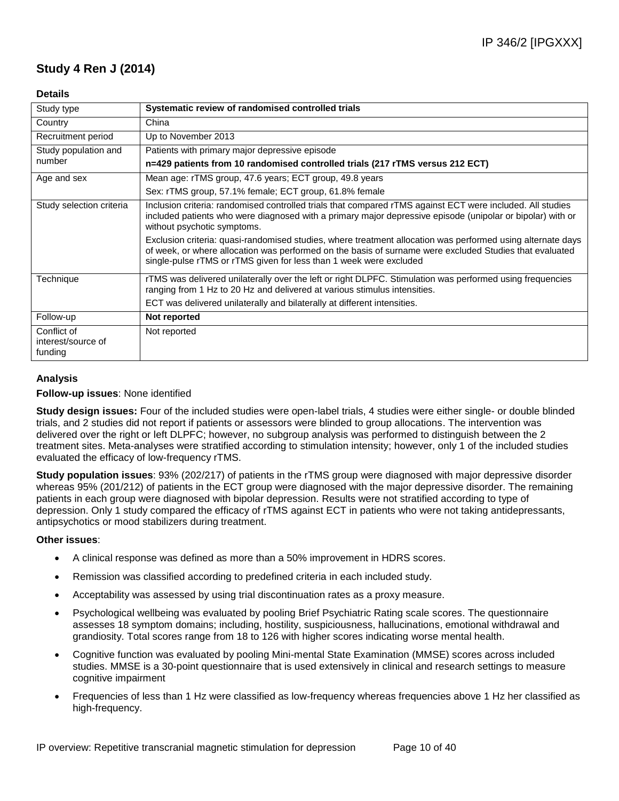## **Study 4 Ren J (2014)**

### **Details**

| Study type                                   | Systematic review of randomised controlled trials                                                                                                                                                                                                                                            |
|----------------------------------------------|----------------------------------------------------------------------------------------------------------------------------------------------------------------------------------------------------------------------------------------------------------------------------------------------|
| Country                                      | China                                                                                                                                                                                                                                                                                        |
| Recruitment period                           | Up to November 2013                                                                                                                                                                                                                                                                          |
| Study population and                         | Patients with primary major depressive episode                                                                                                                                                                                                                                               |
| number                                       | n=429 patients from 10 randomised controlled trials (217 rTMS versus 212 ECT)                                                                                                                                                                                                                |
| Age and sex                                  | Mean age: rTMS group, 47.6 years; ECT group, 49.8 years                                                                                                                                                                                                                                      |
|                                              | Sex: rTMS group, 57.1% female; ECT group, 61.8% female                                                                                                                                                                                                                                       |
| Study selection criteria                     | Inclusion criteria: randomised controlled trials that compared rTMS against ECT were included. All studies<br>included patients who were diagnosed with a primary major depressive episode (unipolar or bipolar) with or<br>without psychotic symptoms.                                      |
|                                              | Exclusion criteria: quasi-randomised studies, where treatment allocation was performed using alternate days<br>of week, or where allocation was performed on the basis of surname were excluded Studies that evaluated<br>single-pulse rTMS or rTMS given for less than 1 week were excluded |
| Technique                                    | rTMS was delivered unilaterally over the left or right DLPFC. Stimulation was performed using frequencies<br>ranging from 1 Hz to 20 Hz and delivered at various stimulus intensities.                                                                                                       |
|                                              | ECT was delivered unilaterally and bilaterally at different intensities.                                                                                                                                                                                                                     |
| Follow-up                                    | Not reported                                                                                                                                                                                                                                                                                 |
| Conflict of<br>interest/source of<br>funding | Not reported                                                                                                                                                                                                                                                                                 |

### **Analysis**

### **Follow-up issues**: None identified

**Study design issues:** Four of the included studies were open-label trials, 4 studies were either single- or double blinded trials, and 2 studies did not report if patients or assessors were blinded to group allocations. The intervention was delivered over the right or left DLPFC; however, no subgroup analysis was performed to distinguish between the 2 treatment sites. Meta-analyses were stratified according to stimulation intensity; however, only 1 of the included studies evaluated the efficacy of low-frequency rTMS.

**Study population issues**: 93% (202/217) of patients in the rTMS group were diagnosed with major depressive disorder whereas 95% (201/212) of patients in the ECT group were diagnosed with the major depressive disorder. The remaining patients in each group were diagnosed with bipolar depression. Results were not stratified according to type of depression. Only 1 study compared the efficacy of rTMS against ECT in patients who were not taking antidepressants, antipsychotics or mood stabilizers during treatment.

- A clinical response was defined as more than a 50% improvement in HDRS scores.
- Remission was classified according to predefined criteria in each included study.
- Acceptability was assessed by using trial discontinuation rates as a proxy measure.
- Psychological wellbeing was evaluated by pooling Brief Psychiatric Rating scale scores. The questionnaire assesses 18 symptom domains; including, hostility, suspiciousness, hallucinations, emotional withdrawal and grandiosity. Total scores range from 18 to 126 with higher scores indicating worse mental health.
- Cognitive function was evaluated by pooling Mini-mental State Examination (MMSE) scores across included studies. MMSE is a 30-point questionnaire that is used extensively in clinical and research settings to measure cognitive impairment
- Frequencies of less than 1 Hz were classified as low-frequency whereas frequencies above 1 Hz her classified as high-frequency.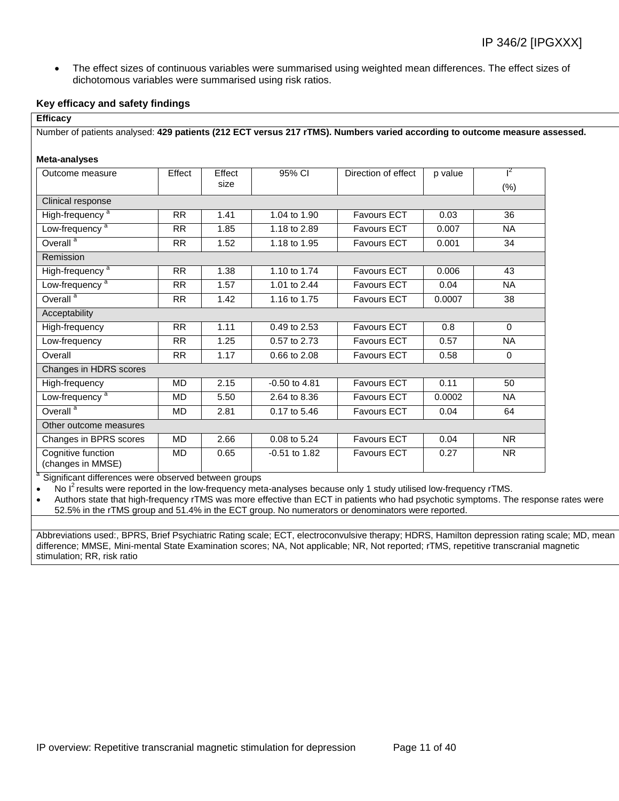The effect sizes of continuous variables were summarised using weighted mean differences. The effect sizes of dichotomous variables were summarised using risk ratios.

#### **Key efficacy and safety findings**

|           |        |                   | Number of patients analysed: 429 patients (212 ECT versus 217 rTMS). Numbers varied according to outcome measure assessed. |        |                |
|-----------|--------|-------------------|----------------------------------------------------------------------------------------------------------------------------|--------|----------------|
|           |        |                   |                                                                                                                            |        |                |
|           |        |                   |                                                                                                                            |        |                |
| Effect    | Effect | 95% CI            | Direction of effect                                                                                                        |        | $\mathsf{I}^2$ |
|           | size   |                   |                                                                                                                            |        | (% )           |
|           |        |                   |                                                                                                                            |        |                |
| <b>RR</b> | 1.41   | 1.04 to 1.90      | <b>Favours ECT</b>                                                                                                         | 0.03   | 36             |
| <b>RR</b> | 1.85   | 1.18 to 2.89      | <b>Favours ECT</b>                                                                                                         | 0.007  | <b>NA</b>      |
| RR.       | 1.52   | 1.18 to 1.95      | <b>Favours ECT</b>                                                                                                         | 0.001  | 34             |
|           |        |                   |                                                                                                                            |        |                |
| <b>RR</b> | 1.38   | 1.10 to 1.74      | <b>Favours ECT</b>                                                                                                         | 0.006  | 43             |
| <b>RR</b> | 1.57   | 1.01 to 2.44      | <b>Favours ECT</b>                                                                                                         | 0.04   | <b>NA</b>      |
| <b>RR</b> | 1.42   | 1.16 to 1.75      | <b>Favours ECT</b>                                                                                                         | 0.0007 | 38             |
|           |        |                   |                                                                                                                            |        |                |
| <b>RR</b> | 1.11   | 0.49 to 2.53      | <b>Favours ECT</b>                                                                                                         | 0.8    | $\Omega$       |
| <b>RR</b> | 1.25   | 0.57 to 2.73      | <b>Favours ECT</b>                                                                                                         | 0.57   | <b>NA</b>      |
| <b>RR</b> | 1.17   | 0.66 to 2.08      | <b>Favours ECT</b>                                                                                                         | 0.58   | $\Omega$       |
|           |        |                   |                                                                                                                            |        |                |
| MD        | 2.15   | $-0.50$ to $4.81$ | Favours ECT                                                                                                                | 0.11   | 50             |
| <b>MD</b> | 5.50   | 2.64 to 8.36      | <b>Favours ECT</b>                                                                                                         | 0.0002 | <b>NA</b>      |
| <b>MD</b> | 2.81   | 0.17 to 5.46      | <b>Favours ECT</b>                                                                                                         | 0.04   | 64             |
|           |        |                   |                                                                                                                            |        |                |
| <b>MD</b> | 2.66   | 0.08 to 5.24      | <b>Favours ECT</b>                                                                                                         | 0.04   | <b>NR</b>      |
| <b>MD</b> | 0.65   | $-0.51$ to 1.82   | <b>Favours ECT</b>                                                                                                         | 0.27   | <b>NR</b>      |
|           |        |                   | a Cignificant differences were observed between groups                                                                     |        | p value        |

Significant differences were observed between groups

 $\bullet$  No I<sup>2</sup> results were reported in the low-frequency meta-analyses because only 1 study utilised low-frequency rTMS.

 Authors state that high-frequency rTMS was more effective than ECT in patients who had psychotic symptoms. The response rates were 52.5% in the rTMS group and 51.4% in the ECT group. No numerators or denominators were reported.

Abbreviations used:, BPRS, Brief Psychiatric Rating scale; ECT, electroconvulsive therapy; HDRS, Hamilton depression rating scale; MD, mean difference; MMSE, Mini-mental State Examination scores; NA, Not applicable; NR, Not reported; rTMS, repetitive transcranial magnetic stimulation; RR, risk ratio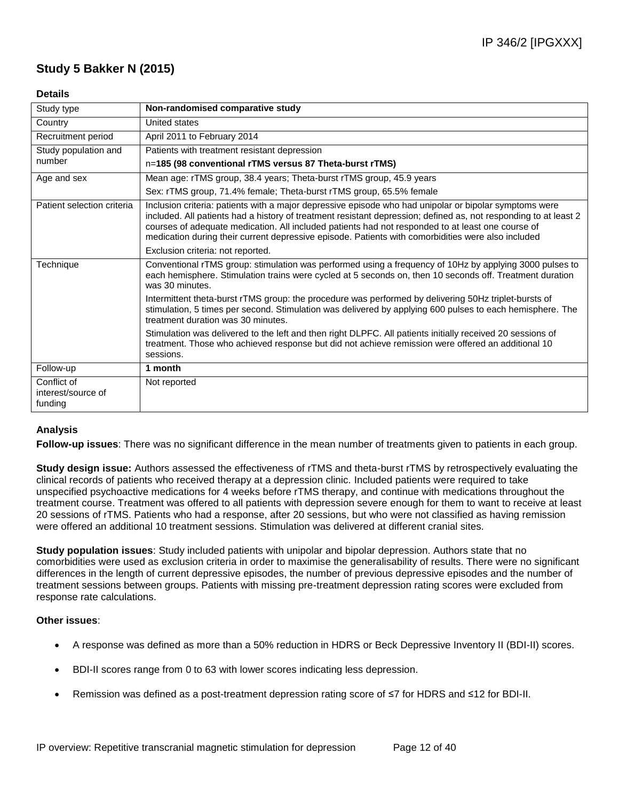## **Study 5 Bakker N (2015)**

### **Details**

| Study type                                   | Non-randomised comparative study                                                                                                                                                                                                                                                                                                                                                                                                      |
|----------------------------------------------|---------------------------------------------------------------------------------------------------------------------------------------------------------------------------------------------------------------------------------------------------------------------------------------------------------------------------------------------------------------------------------------------------------------------------------------|
| Country                                      | United states                                                                                                                                                                                                                                                                                                                                                                                                                         |
| Recruitment period                           | April 2011 to February 2014                                                                                                                                                                                                                                                                                                                                                                                                           |
| Study population and                         | Patients with treatment resistant depression                                                                                                                                                                                                                                                                                                                                                                                          |
| number                                       | n=185 (98 conventional rTMS versus 87 Theta-burst rTMS)                                                                                                                                                                                                                                                                                                                                                                               |
| Age and sex                                  | Mean age: rTMS group, 38.4 years; Theta-burst rTMS group, 45.9 years                                                                                                                                                                                                                                                                                                                                                                  |
|                                              | Sex: rTMS group, 71.4% female; Theta-burst rTMS group, 65.5% female                                                                                                                                                                                                                                                                                                                                                                   |
| Patient selection criteria                   | Inclusion criteria: patients with a major depressive episode who had unipolar or bipolar symptoms were<br>included. All patients had a history of treatment resistant depression; defined as, not responding to at least 2<br>courses of adequate medication. All included patients had not responded to at least one course of<br>medication during their current depressive episode. Patients with comorbidities were also included |
|                                              | Exclusion criteria: not reported.                                                                                                                                                                                                                                                                                                                                                                                                     |
| Technique                                    | Conventional rTMS group: stimulation was performed using a frequency of 10Hz by applying 3000 pulses to<br>each hemisphere. Stimulation trains were cycled at 5 seconds on, then 10 seconds off. Treatment duration<br>was 30 minutes.                                                                                                                                                                                                |
|                                              | Intermittent theta-burst rTMS group: the procedure was performed by delivering 50Hz triplet-bursts of<br>stimulation, 5 times per second. Stimulation was delivered by applying 600 pulses to each hemisphere. The<br>treatment duration was 30 minutes.                                                                                                                                                                              |
|                                              | Stimulation was delivered to the left and then right DLPFC. All patients initially received 20 sessions of<br>treatment. Those who achieved response but did not achieve remission were offered an additional 10<br>sessions.                                                                                                                                                                                                         |
| Follow-up                                    | 1 month                                                                                                                                                                                                                                                                                                                                                                                                                               |
| Conflict of<br>interest/source of<br>funding | Not reported                                                                                                                                                                                                                                                                                                                                                                                                                          |

### **Analysis**

**Follow-up issues**: There was no significant difference in the mean number of treatments given to patients in each group.

**Study design issue:** Authors assessed the effectiveness of rTMS and theta-burst rTMS by retrospectively evaluating the clinical records of patients who received therapy at a depression clinic. Included patients were required to take unspecified psychoactive medications for 4 weeks before rTMS therapy, and continue with medications throughout the treatment course. Treatment was offered to all patients with depression severe enough for them to want to receive at least 20 sessions of rTMS. Patients who had a response, after 20 sessions, but who were not classified as having remission were offered an additional 10 treatment sessions. Stimulation was delivered at different cranial sites.

**Study population issues**: Study included patients with unipolar and bipolar depression. Authors state that no comorbidities were used as exclusion criteria in order to maximise the generalisability of results. There were no significant differences in the length of current depressive episodes, the number of previous depressive episodes and the number of treatment sessions between groups. Patients with missing pre-treatment depression rating scores were excluded from response rate calculations.

- A response was defined as more than a 50% reduction in HDRS or Beck Depressive Inventory II (BDI-II) scores.
- BDI-II scores range from 0 to 63 with lower scores indicating less depression.
- Remission was defined as a post-treatment depression rating score of ≤7 for HDRS and ≤12 for BDI-II.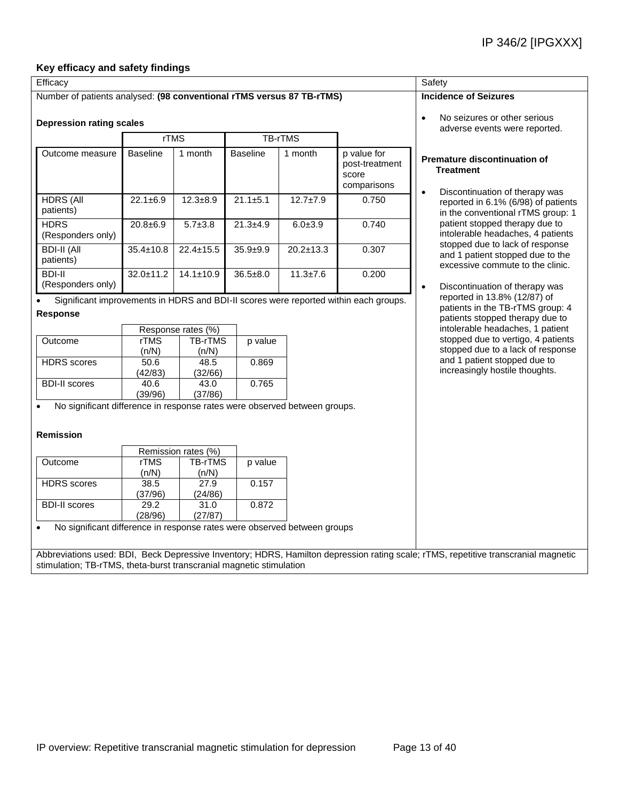### **Key efficacy and safety findings**

| Efficacy                                                                               |                    |                     |                 |                 |                                                       | Safety                                                                                                                                        |  |  |
|----------------------------------------------------------------------------------------|--------------------|---------------------|-----------------|-----------------|-------------------------------------------------------|-----------------------------------------------------------------------------------------------------------------------------------------------|--|--|
| Number of patients analysed: (98 conventional rTMS versus 87 TB-rTMS)                  |                    |                     |                 |                 |                                                       | <b>Incidence of Seizures</b>                                                                                                                  |  |  |
| <b>Depression rating scales</b>                                                        |                    |                     |                 |                 |                                                       | No seizures or other serious<br>$\bullet$<br>adverse events were reported.                                                                    |  |  |
|                                                                                        | <b>rTMS</b>        |                     | <b>TB-rTMS</b>  |                 |                                                       |                                                                                                                                               |  |  |
| Outcome measure                                                                        | <b>Baseline</b>    | 1 month             | <b>Baseline</b> | 1 month         | p value for<br>post-treatment<br>score<br>comparisons | <b>Premature discontinuation of</b><br><b>Treatment</b>                                                                                       |  |  |
| <b>HDRS (All</b><br>patients)                                                          | $22.1 \pm 6.9$     | $12.3 + 8.9$        | $21.1 \pm 5.1$  | $12.7 \pm 7.9$  | 0.750                                                 | Discontinuation of therapy was<br>$\bullet$<br>reported in 6.1% (6/98) of patients<br>in the conventional rTMS group: 1                       |  |  |
| <b>HDRS</b><br>(Responders only)                                                       | $20.8 + 6.9$       | $5.7 + 3.8$         | $21.3 + 4.9$    | $6.0 + 3.9$     | 0.740                                                 | patient stopped therapy due to<br>intolerable headaches, 4 patients                                                                           |  |  |
| <b>BDI-II (All</b><br>patients)                                                        | $35.4 \pm 10.8$    | $22.4 \pm 15.5$     | $35.9 + 9.9$    | $20.2 \pm 13.3$ | 0.307                                                 | stopped due to lack of response<br>and 1 patient stopped due to the<br>excessive commute to the clinic.                                       |  |  |
| <b>BDI-II</b><br>(Responders only)                                                     | $32.0 \pm 11.2$    | $14.1 \pm 10.9$     | $36.5 \pm 8.0$  | $11.3 \pm 7.6$  | 0.200                                                 | Discontinuation of therapy was<br>$\bullet$<br>reported in 13.8% (12/87) of                                                                   |  |  |
| <b>Response</b>                                                                        | Response rates (%) |                     |                 |                 |                                                       | patients in the TB-rTMS group: 4<br>patients stopped therapy due to<br>intolerable headaches, 1 patient<br>stopped due to vertigo, 4 patients |  |  |
| Outcome                                                                                | rTMS<br>(n/N)      | TB-rTMS<br>(n/N)    | p value         |                 |                                                       | stopped due to a lack of response                                                                                                             |  |  |
| <b>HDRS</b> scores                                                                     | 50.6<br>(42/83)    | 48.5<br>(32/66)     | 0.869           |                 |                                                       | and 1 patient stopped due to<br>increasingly hostile thoughts.                                                                                |  |  |
| <b>BDI-II scores</b>                                                                   | 40.6<br>(39/96)    | 43.0<br>(37/86)     | 0.765           |                 |                                                       |                                                                                                                                               |  |  |
| No significant difference in response rates were observed between groups.<br>Remission |                    |                     |                 |                 |                                                       |                                                                                                                                               |  |  |
|                                                                                        |                    | Remission rates (%) |                 |                 |                                                       |                                                                                                                                               |  |  |
| Outcome                                                                                | rTMS<br>(n/N)      | TB-rTMS<br>(n/N)    | p value         |                 |                                                       |                                                                                                                                               |  |  |
| <b>HDRS</b> scores                                                                     | 38.5<br>(37/96)    | 27.9<br>(24/86)     | 0.157           |                 |                                                       |                                                                                                                                               |  |  |
| <b>BDI-II scores</b>                                                                   | 29.2<br>(28/96)    | 31.0<br>(27/87)     | 0.872           |                 |                                                       |                                                                                                                                               |  |  |
| No significant difference in response rates were observed between groups               |                    |                     |                 |                 |                                                       |                                                                                                                                               |  |  |
| stimulation; TB-rTMS, theta-burst transcranial magnetic stimulation                    |                    |                     |                 |                 |                                                       | Abbreviations used: BDI, Beck Depressive Inventory; HDRS, Hamilton depression rating scale; rTMS, repetitive transcranial magnetic            |  |  |
|                                                                                        |                    |                     |                 |                 |                                                       |                                                                                                                                               |  |  |
|                                                                                        |                    |                     |                 |                 |                                                       |                                                                                                                                               |  |  |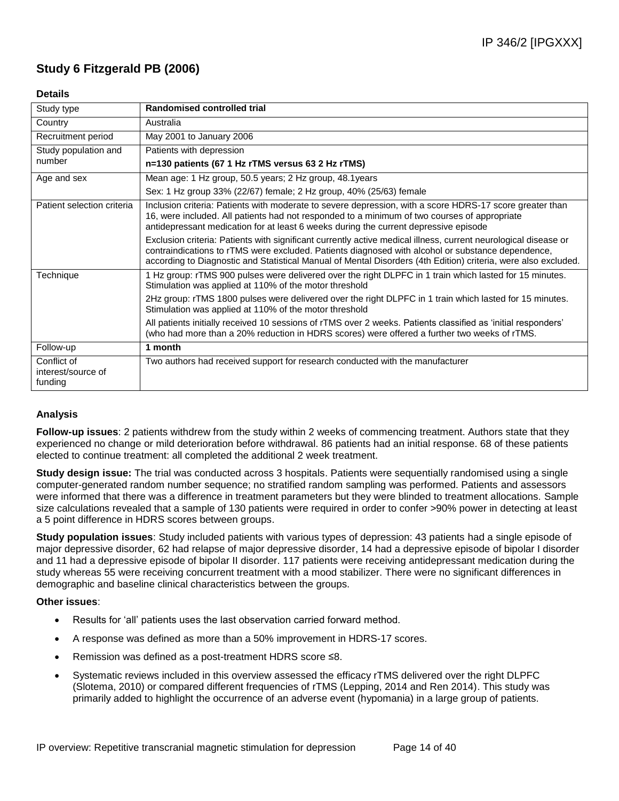## **Study 6 Fitzgerald PB (2006)**

### **Details**

| Study type                                   | <b>Randomised controlled trial</b>                                                                                                                                                                                                                                                                                                     |
|----------------------------------------------|----------------------------------------------------------------------------------------------------------------------------------------------------------------------------------------------------------------------------------------------------------------------------------------------------------------------------------------|
| Country                                      | Australia                                                                                                                                                                                                                                                                                                                              |
| Recruitment period                           | May 2001 to January 2006                                                                                                                                                                                                                                                                                                               |
| Study population and                         | Patients with depression                                                                                                                                                                                                                                                                                                               |
| number                                       | n=130 patients (67 1 Hz rTMS versus 63 2 Hz rTMS)                                                                                                                                                                                                                                                                                      |
| Age and sex                                  | Mean age: 1 Hz group, 50.5 years; 2 Hz group, 48.1 years                                                                                                                                                                                                                                                                               |
|                                              | Sex: 1 Hz group 33% (22/67) female; 2 Hz group, 40% (25/63) female                                                                                                                                                                                                                                                                     |
| Patient selection criteria                   | Inclusion criteria: Patients with moderate to severe depression, with a score HDRS-17 score greater than<br>16, were included. All patients had not responded to a minimum of two courses of appropriate<br>antidepressant medication for at least 6 weeks during the current depressive episode                                       |
|                                              | Exclusion criteria: Patients with significant currently active medical illness, current neurological disease or<br>contraindications to rTMS were excluded. Patients diagnosed with alcohol or substance dependence,<br>according to Diagnostic and Statistical Manual of Mental Disorders (4th Edition) criteria, were also excluded. |
| Technique                                    | 1 Hz group: rTMS 900 pulses were delivered over the right DLPFC in 1 train which lasted for 15 minutes.<br>Stimulation was applied at 110% of the motor threshold                                                                                                                                                                      |
|                                              | 2Hz group: rTMS 1800 pulses were delivered over the right DLPFC in 1 train which lasted for 15 minutes.<br>Stimulation was applied at 110% of the motor threshold                                                                                                                                                                      |
|                                              | All patients initially received 10 sessions of rTMS over 2 weeks. Patients classified as 'initial responders'<br>(who had more than a 20% reduction in HDRS scores) were offered a further two weeks of rTMS.                                                                                                                          |
| Follow-up                                    | 1 month                                                                                                                                                                                                                                                                                                                                |
| Conflict of<br>interest/source of<br>funding | Two authors had received support for research conducted with the manufacturer                                                                                                                                                                                                                                                          |

### **Analysis**

**Follow-up issues**: 2 patients withdrew from the study within 2 weeks of commencing treatment. Authors state that they experienced no change or mild deterioration before withdrawal. 86 patients had an initial response. 68 of these patients elected to continue treatment: all completed the additional 2 week treatment.

**Study design issue:** The trial was conducted across 3 hospitals. Patients were sequentially randomised using a single computer-generated random number sequence; no stratified random sampling was performed. Patients and assessors were informed that there was a difference in treatment parameters but they were blinded to treatment allocations. Sample size calculations revealed that a sample of 130 patients were required in order to confer >90% power in detecting at least a 5 point difference in HDRS scores between groups.

**Study population issues**: Study included patients with various types of depression: 43 patients had a single episode of major depressive disorder, 62 had relapse of major depressive disorder, 14 had a depressive episode of bipolar I disorder and 11 had a depressive episode of bipolar II disorder. 117 patients were receiving antidepressant medication during the study whereas 55 were receiving concurrent treatment with a mood stabilizer. There were no significant differences in demographic and baseline clinical characteristics between the groups.

- Results for 'all' patients uses the last observation carried forward method.
- A response was defined as more than a 50% improvement in HDRS-17 scores.
- Remission was defined as a post-treatment HDRS score ≤8.
- Systematic reviews included in this overview assessed the efficacy rTMS delivered over the right DLPFC (Slotema, 2010) or compared different frequencies of rTMS (Lepping, 2014 and Ren 2014). This study was primarily added to highlight the occurrence of an adverse event (hypomania) in a large group of patients.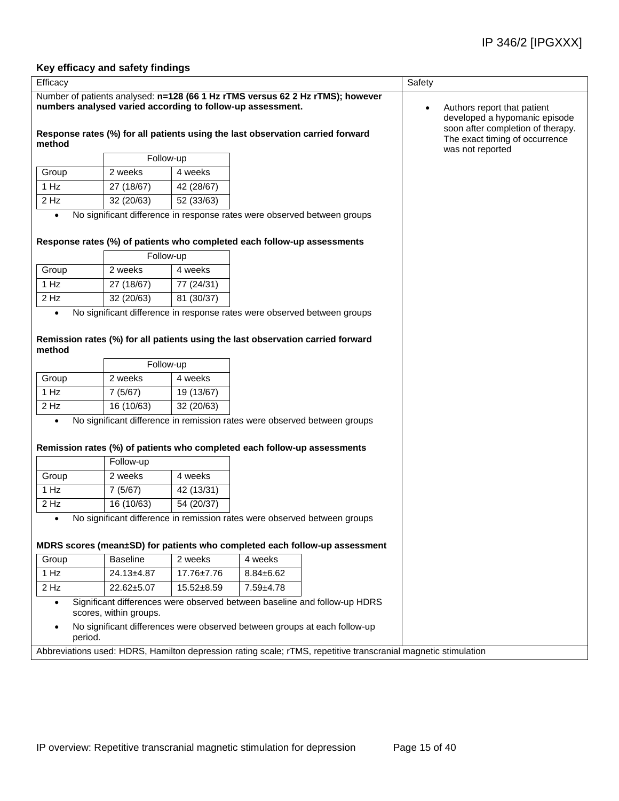### **Key efficacy and safety findings**

| Efficacy                                                                                                                                     |                                                                                                                | Safety                                                                                            |                                                                                                                                                             |                                                    |  |  |  |
|----------------------------------------------------------------------------------------------------------------------------------------------|----------------------------------------------------------------------------------------------------------------|---------------------------------------------------------------------------------------------------|-------------------------------------------------------------------------------------------------------------------------------------------------------------|----------------------------------------------------|--|--|--|
| Number of patients analysed: n=128 (66 1 Hz rTMS versus 62 2 Hz rTMS); however<br>numbers analysed varied according to follow-up assessment. |                                                                                                                | Authors report that patient<br>developed a hypomanic episode<br>soon after completion of therapy. |                                                                                                                                                             |                                                    |  |  |  |
| method                                                                                                                                       |                                                                                                                |                                                                                                   | Response rates (%) for all patients using the last observation carried forward                                                                              | The exact timing of occurrence<br>was not reported |  |  |  |
|                                                                                                                                              | Follow-up                                                                                                      |                                                                                                   |                                                                                                                                                             |                                                    |  |  |  |
| Group                                                                                                                                        | 2 weeks                                                                                                        | 4 weeks                                                                                           |                                                                                                                                                             |                                                    |  |  |  |
| 1 Hz                                                                                                                                         | 27 (18/67)                                                                                                     | 42 (28/67)                                                                                        |                                                                                                                                                             |                                                    |  |  |  |
| 2 Hz                                                                                                                                         | 32 (20/63)                                                                                                     | 52 (33/63)                                                                                        |                                                                                                                                                             |                                                    |  |  |  |
| $\bullet$                                                                                                                                    |                                                                                                                |                                                                                                   | No significant difference in response rates were observed between groups<br>Response rates (%) of patients who completed each follow-up assessments         |                                                    |  |  |  |
|                                                                                                                                              | Follow-up                                                                                                      |                                                                                                   |                                                                                                                                                             |                                                    |  |  |  |
| Group                                                                                                                                        | 2 weeks                                                                                                        | 4 weeks                                                                                           |                                                                                                                                                             |                                                    |  |  |  |
| 1 Hz                                                                                                                                         | 27 (18/67)                                                                                                     | 77 (24/31)                                                                                        |                                                                                                                                                             |                                                    |  |  |  |
| 2 Hz                                                                                                                                         | 32 (20/63)                                                                                                     | 81 (30/37)                                                                                        |                                                                                                                                                             |                                                    |  |  |  |
| $\bullet$<br>method                                                                                                                          |                                                                                                                |                                                                                                   | No significant difference in response rates were observed between groups<br>Remission rates (%) for all patients using the last observation carried forward |                                                    |  |  |  |
|                                                                                                                                              | Follow-up                                                                                                      |                                                                                                   |                                                                                                                                                             |                                                    |  |  |  |
| Group                                                                                                                                        | 2 weeks                                                                                                        | 4 weeks                                                                                           |                                                                                                                                                             |                                                    |  |  |  |
| 1 Hz                                                                                                                                         | 7(5/67)                                                                                                        | 19 (13/67)                                                                                        |                                                                                                                                                             |                                                    |  |  |  |
| $2$ Hz                                                                                                                                       | 16 (10/63)                                                                                                     | 32 (20/63)                                                                                        |                                                                                                                                                             |                                                    |  |  |  |
| $\bullet$                                                                                                                                    |                                                                                                                |                                                                                                   | No significant difference in remission rates were observed between groups<br>Remission rates (%) of patients who completed each follow-up assessments       |                                                    |  |  |  |
|                                                                                                                                              | Follow-up                                                                                                      |                                                                                                   |                                                                                                                                                             |                                                    |  |  |  |
| Group                                                                                                                                        | 2 weeks                                                                                                        | 4 weeks                                                                                           |                                                                                                                                                             |                                                    |  |  |  |
| 1 Hz                                                                                                                                         | 7(5/67)                                                                                                        | 42 (13/31)                                                                                        |                                                                                                                                                             |                                                    |  |  |  |
| $2$ Hz                                                                                                                                       | 16(10/63)                                                                                                      | 54 (20/37)                                                                                        |                                                                                                                                                             |                                                    |  |  |  |
| $\bullet$                                                                                                                                    |                                                                                                                |                                                                                                   | No significant difference in remission rates were observed between groups                                                                                   |                                                    |  |  |  |
|                                                                                                                                              |                                                                                                                |                                                                                                   | MDRS scores (mean±SD) for patients who completed each follow-up assessment                                                                                  |                                                    |  |  |  |
| Group                                                                                                                                        | <b>Baseline</b>                                                                                                | 2 weeks                                                                                           | 4 weeks                                                                                                                                                     |                                                    |  |  |  |
| 1 Hz                                                                                                                                         | $24.13 \pm 4.87$                                                                                               | 17.76±7.76                                                                                        | $8.84 \pm 6.62$                                                                                                                                             |                                                    |  |  |  |
| $2$ Hz                                                                                                                                       | 22.62±5.07                                                                                                     | $15.52 + 8.59$                                                                                    | 7.59±4.78                                                                                                                                                   |                                                    |  |  |  |
| $\bullet$                                                                                                                                    | scores, within groups.                                                                                         |                                                                                                   | Significant differences were observed between baseline and follow-up HDRS                                                                                   |                                                    |  |  |  |
| period.                                                                                                                                      |                                                                                                                |                                                                                                   | No significant differences were observed between groups at each follow-up                                                                                   |                                                    |  |  |  |
|                                                                                                                                              | Abbreviations used: HDRS, Hamilton depression rating scale; rTMS, repetitive transcranial magnetic stimulation |                                                                                                   |                                                                                                                                                             |                                                    |  |  |  |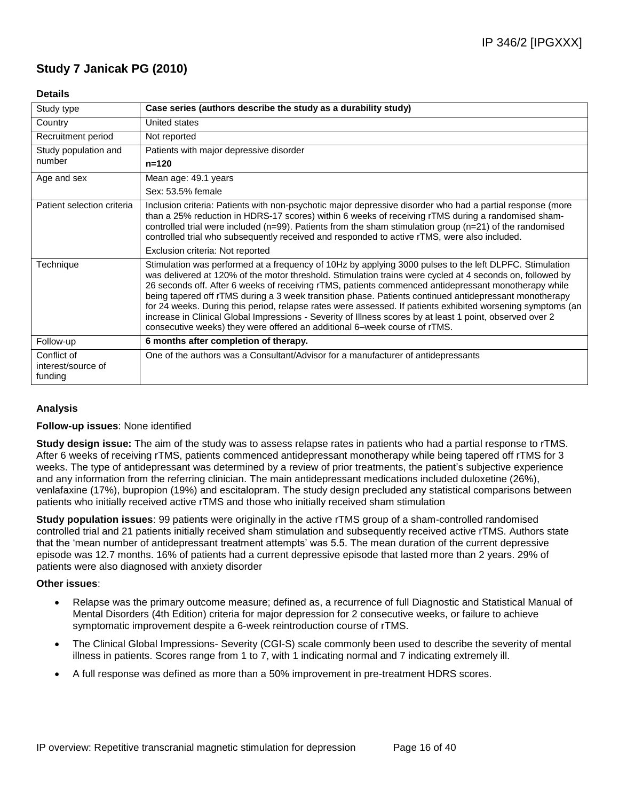## **Study 7 Janicak PG (2010)**

### **Details**

| Study type                                   | Case series (authors describe the study as a durability study)                                                                                                                                                                                                                                                                                                                                                                                                                                                                                                                                                                                                                                                                                  |
|----------------------------------------------|-------------------------------------------------------------------------------------------------------------------------------------------------------------------------------------------------------------------------------------------------------------------------------------------------------------------------------------------------------------------------------------------------------------------------------------------------------------------------------------------------------------------------------------------------------------------------------------------------------------------------------------------------------------------------------------------------------------------------------------------------|
| Country                                      | United states                                                                                                                                                                                                                                                                                                                                                                                                                                                                                                                                                                                                                                                                                                                                   |
| Recruitment period                           | Not reported                                                                                                                                                                                                                                                                                                                                                                                                                                                                                                                                                                                                                                                                                                                                    |
| Study population and                         | Patients with major depressive disorder                                                                                                                                                                                                                                                                                                                                                                                                                                                                                                                                                                                                                                                                                                         |
| number                                       | $n = 120$                                                                                                                                                                                                                                                                                                                                                                                                                                                                                                                                                                                                                                                                                                                                       |
| Age and sex                                  | Mean age: 49.1 years                                                                                                                                                                                                                                                                                                                                                                                                                                                                                                                                                                                                                                                                                                                            |
|                                              | Sex: 53.5% female                                                                                                                                                                                                                                                                                                                                                                                                                                                                                                                                                                                                                                                                                                                               |
| Patient selection criteria                   | Inclusion criteria: Patients with non-psychotic major depressive disorder who had a partial response (more<br>than a 25% reduction in HDRS-17 scores) within 6 weeks of receiving rTMS during a randomised sham-<br>controlled trial were included ( $n=99$ ). Patients from the sham stimulation group ( $n=21$ ) of the randomised<br>controlled trial who subsequently received and responded to active rTMS, were also included.                                                                                                                                                                                                                                                                                                            |
|                                              | Exclusion criteria: Not reported                                                                                                                                                                                                                                                                                                                                                                                                                                                                                                                                                                                                                                                                                                                |
| Technique                                    | Stimulation was performed at a frequency of 10Hz by applying 3000 pulses to the left DLPFC. Stimulation<br>was delivered at 120% of the motor threshold. Stimulation trains were cycled at 4 seconds on, followed by<br>26 seconds off. After 6 weeks of receiving rTMS, patients commenced antidepressant monotherapy while<br>being tapered off rTMS during a 3 week transition phase. Patients continued antidepressant monotherapy<br>for 24 weeks. During this period, relapse rates were assessed. If patients exhibited worsening symptoms (an<br>increase in Clinical Global Impressions - Severity of Illness scores by at least 1 point, observed over 2<br>consecutive weeks) they were offered an additional 6-week course of rTMS. |
| Follow-up                                    | 6 months after completion of therapy.                                                                                                                                                                                                                                                                                                                                                                                                                                                                                                                                                                                                                                                                                                           |
| Conflict of<br>interest/source of<br>funding | One of the authors was a Consultant/Advisor for a manufacturer of antidepressants                                                                                                                                                                                                                                                                                                                                                                                                                                                                                                                                                                                                                                                               |

### **Analysis**

#### **Follow-up issues**: None identified

**Study design issue:** The aim of the study was to assess relapse rates in patients who had a partial response to rTMS. After 6 weeks of receiving rTMS, patients commenced antidepressant monotherapy while being tapered off rTMS for 3 weeks. The type of antidepressant was determined by a review of prior treatments, the patient's subjective experience and any information from the referring clinician. The main antidepressant medications included duloxetine (26%), venlafaxine (17%), bupropion (19%) and escitalopram. The study design precluded any statistical comparisons between patients who initially received active rTMS and those who initially received sham stimulation

**Study population issues**: 99 patients were originally in the active rTMS group of a sham-controlled randomised controlled trial and 21 patients initially received sham stimulation and subsequently received active rTMS. Authors state that the 'mean number of antidepressant treatment attempts' was 5.5. The mean duration of the current depressive episode was 12.7 months. 16% of patients had a current depressive episode that lasted more than 2 years. 29% of patients were also diagnosed with anxiety disorder

- Relapse was the primary outcome measure; defined as, a recurrence of full Diagnostic and Statistical Manual of Mental Disorders (4th Edition) criteria for major depression for 2 consecutive weeks, or failure to achieve symptomatic improvement despite a 6-week reintroduction course of rTMS.
- The Clinical Global Impressions- Severity (CGI-S) scale commonly been used to describe the severity of mental illness in patients. Scores range from 1 to 7, with 1 indicating normal and 7 indicating extremely ill.
- A full response was defined as more than a 50% improvement in pre-treatment HDRS scores.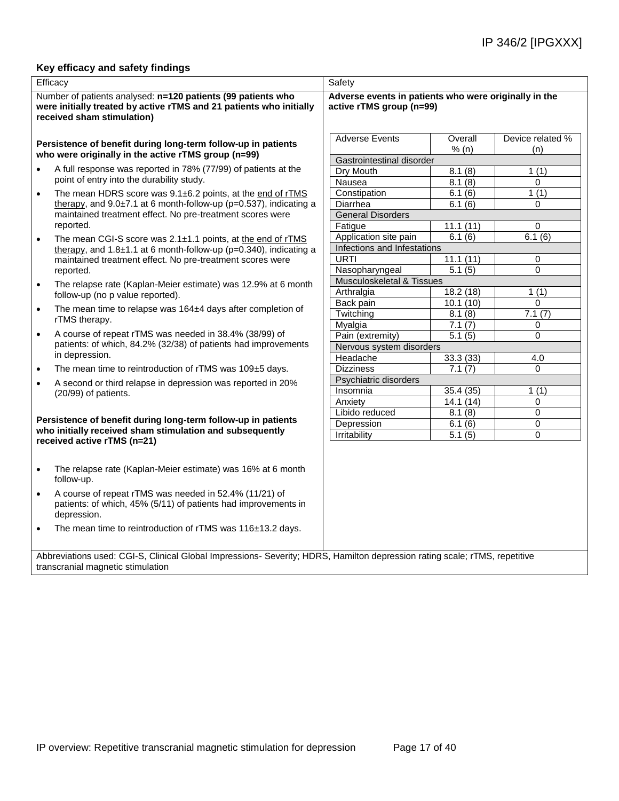### **Key efficacy and safety findings**

| Efficacy                                                                                                                                                          | Safety                                                                            |                              |                         |  |  |
|-------------------------------------------------------------------------------------------------------------------------------------------------------------------|-----------------------------------------------------------------------------------|------------------------------|-------------------------|--|--|
| Number of patients analysed: n=120 patients (99 patients who<br>were initially treated by active rTMS and 21 patients who initially<br>received sham stimulation) | Adverse events in patients who were originally in the<br>active rTMS group (n=99) |                              |                         |  |  |
| Persistence of benefit during long-term follow-up in patients<br>who were originally in the active rTMS group (n=99)                                              | <b>Adverse Events</b>                                                             | Overall<br>% (n)             | Device related %<br>(n) |  |  |
| A full response was reported in 78% (77/99) of patients at the<br>$\bullet$<br>point of entry into the durability study.                                          | Gastrointestinal disorder<br>Dry Mouth<br>Nausea                                  | 8.1(8)<br>8.1(8)             | 1(1)<br>$\Omega$        |  |  |
| The mean HDRS score was 9.1±6.2 points, at the end of rTMS<br>$\bullet$<br>therapy, and $9.0\pm7.1$ at 6 month-follow-up (p=0.537), indicating a                  | Constipation<br>Diarrhea                                                          | 6.1(6)<br>6.1(6)             | 1(1)<br>0               |  |  |
| maintained treatment effect. No pre-treatment scores were<br>reported.<br>The mean CGI-S score was 2.1±1.1 points, at the end of rTMS<br>$\bullet$                | <b>General Disorders</b><br>Fatigue<br>Application site pain                      | 11.1(11)<br>6.1(6)           | $\Omega$<br>6.1(6)      |  |  |
| therapy, and $1.8\pm1.1$ at 6 month-follow-up (p=0.340), indicating a<br>maintained treatment effect. No pre-treatment scores were<br>reported.                   | Infections and Infestations<br>URTI<br>Nasopharyngeal                             | 11.1(11)<br>5.1(5)           | 0<br>0                  |  |  |
| The relapse rate (Kaplan-Meier estimate) was 12.9% at 6 month<br>$\bullet$<br>follow-up (no p value reported).                                                    | Musculoskeletal & Tissues<br>Arthralgia                                           | 18.2 (18)                    | 1(1)                    |  |  |
| The mean time to relapse was 164±4 days after completion of<br>$\bullet$<br>rTMS therapy.                                                                         | Back pain<br>Twitching<br>Myalgia                                                 | 10.1(10)<br>8.1(8)<br>7.1(7) | $\Omega$<br>7.1(7)<br>0 |  |  |
| A course of repeat rTMS was needed in 38.4% (38/99) of<br>$\bullet$<br>patients: of which, 84.2% (32/38) of patients had improvements<br>in depression.           | Pain (extremity)<br>Nervous system disorders                                      | 5.1(5)                       | 0                       |  |  |
| The mean time to reintroduction of rTMS was 109±5 days.<br>$\bullet$                                                                                              | Headache<br><b>Dizziness</b>                                                      | 33.3 (33)<br>7.1(7)          | 4.0<br>$\Omega$         |  |  |
| A second or third relapse in depression was reported in 20%<br>$\bullet$<br>(20/99) of patients.                                                                  | Psychiatric disorders<br>Insomnia                                                 | 35.4(35)                     | 1(1)                    |  |  |
| Persistence of benefit during long-term follow-up in patients                                                                                                     | Anxiety<br>Libido reduced<br>Depression                                           | 14.1(14)<br>8.1(8)<br>6.1(6) | 0<br>0<br>0             |  |  |
| who initially received sham stimulation and subsequently<br>received active rTMS (n=21)                                                                           | Irritability                                                                      | 5.1(5)                       | 0                       |  |  |
| The relapse rate (Kaplan-Meier estimate) was 16% at 6 month<br>$\bullet$<br>follow-up.                                                                            |                                                                                   |                              |                         |  |  |
| A course of repeat rTMS was needed in 52.4% (11/21) of<br>$\bullet$<br>patients: of which, 45% (5/11) of patients had improvements in<br>depression.              |                                                                                   |                              |                         |  |  |
| The mean time to reintroduction of rTMS was 116±13.2 days.<br>$\bullet$                                                                                           |                                                                                   |                              |                         |  |  |
| Abbreviations used: CGI-S, Clinical Global Impressions- Severity; HDRS, Hamilton depression rating scale; rTMS, repetitive                                        |                                                                                   |                              |                         |  |  |

transcranial magnetic stimulation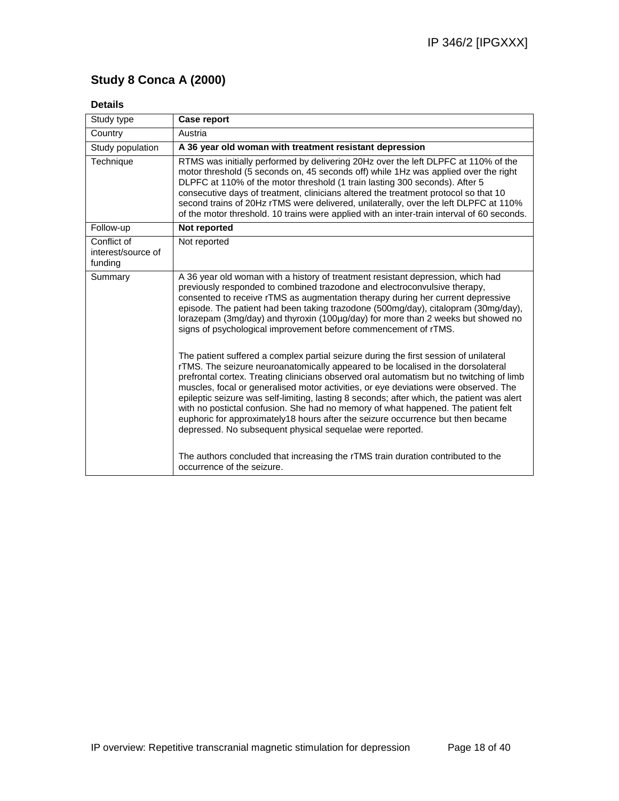## **Study 8 Conca A (2000)**

## **Details**

| Study type                                   | <b>Case report</b>                                                                                                                                                                                                                                                                                                                                                                                                                                                                                                                                                                                                                                                                               |
|----------------------------------------------|--------------------------------------------------------------------------------------------------------------------------------------------------------------------------------------------------------------------------------------------------------------------------------------------------------------------------------------------------------------------------------------------------------------------------------------------------------------------------------------------------------------------------------------------------------------------------------------------------------------------------------------------------------------------------------------------------|
| Country                                      | Austria                                                                                                                                                                                                                                                                                                                                                                                                                                                                                                                                                                                                                                                                                          |
| Study population                             | A 36 year old woman with treatment resistant depression                                                                                                                                                                                                                                                                                                                                                                                                                                                                                                                                                                                                                                          |
| Technique                                    | RTMS was initially performed by delivering 20Hz over the left DLPFC at 110% of the<br>motor threshold (5 seconds on, 45 seconds off) while 1Hz was applied over the right<br>DLPFC at 110% of the motor threshold (1 train lasting 300 seconds). After 5<br>consecutive days of treatment, clinicians altered the treatment protocol so that 10<br>second trains of 20Hz rTMS were delivered, unilaterally, over the left DLPFC at 110%<br>of the motor threshold. 10 trains were applied with an inter-train interval of 60 seconds.                                                                                                                                                            |
| Follow-up                                    | Not reported                                                                                                                                                                                                                                                                                                                                                                                                                                                                                                                                                                                                                                                                                     |
| Conflict of<br>interest/source of<br>funding | Not reported                                                                                                                                                                                                                                                                                                                                                                                                                                                                                                                                                                                                                                                                                     |
| Summary                                      | A 36 year old woman with a history of treatment resistant depression, which had<br>previously responded to combined trazodone and electroconvulsive therapy,<br>consented to receive rTMS as augmentation therapy during her current depressive<br>episode. The patient had been taking trazodone (500mg/day), citalopram (30mg/day),<br>lorazepam (3mg/day) and thyroxin (100µg/day) for more than 2 weeks but showed no<br>signs of psychological improvement before commencement of rTMS.                                                                                                                                                                                                     |
|                                              | The patient suffered a complex partial seizure during the first session of unilateral<br>rTMS. The seizure neuroanatomically appeared to be localised in the dorsolateral<br>prefrontal cortex. Treating clinicians observed oral automatism but no twitching of limb<br>muscles, focal or generalised motor activities, or eye deviations were observed. The<br>epileptic seizure was self-limiting, lasting 8 seconds; after which, the patient was alert<br>with no postictal confusion. She had no memory of what happened. The patient felt<br>euphoric for approximately18 hours after the seizure occurrence but then became<br>depressed. No subsequent physical sequelae were reported. |
|                                              | The authors concluded that increasing the rTMS train duration contributed to the<br>occurrence of the seizure.                                                                                                                                                                                                                                                                                                                                                                                                                                                                                                                                                                                   |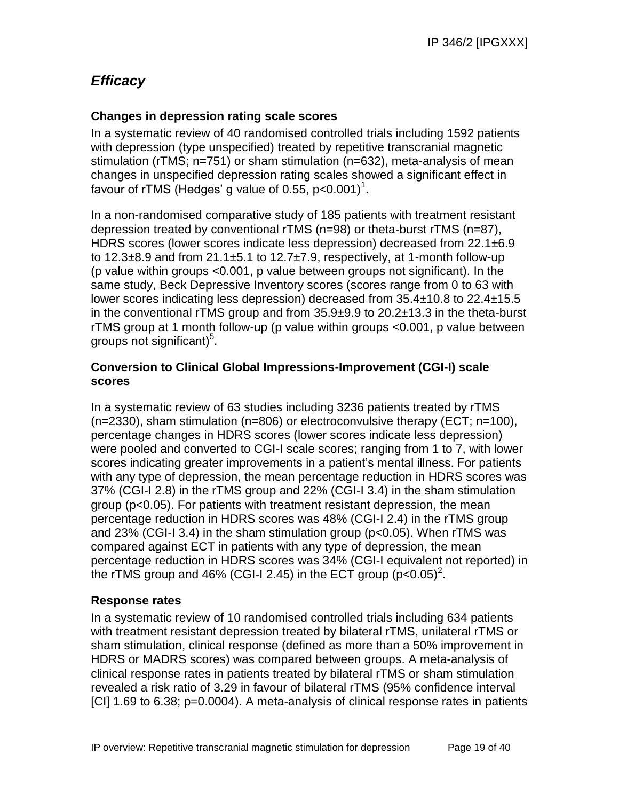## *Efficacy*

## **Changes in depression rating scale scores**

In a systematic review of 40 randomised controlled trials including 1592 patients with depression (type unspecified) treated by repetitive transcranial magnetic stimulation (rTMS; n=751) or sham stimulation (n=632), meta-analysis of mean changes in unspecified depression rating scales showed a significant effect in favour of rTMS (Hedges' g value of 0.55,  $p<0.001$ )<sup>1</sup>.

In a non-randomised comparative study of 185 patients with treatment resistant depression treated by conventional rTMS (n=98) or theta-burst rTMS (n=87), HDRS scores (lower scores indicate less depression) decreased from 22.1±6.9 to  $12.3\pm8.9$  and from  $21.1\pm5.1$  to  $12.7\pm7.9$ , respectively, at 1-month follow-up (p value within groups <0.001, p value between groups not significant). In the same study, Beck Depressive Inventory scores (scores range from 0 to 63 with lower scores indicating less depression) decreased from 35.4±10.8 to 22.4±15.5 in the conventional rTMS group and from 35.9±9.9 to 20.2±13.3 in the theta-burst rTMS group at 1 month follow-up (p value within groups <0.001, p value between groups not significant) $5$ .

## **Conversion to Clinical Global Impressions-Improvement (CGI-I) scale scores**

In a systematic review of 63 studies including 3236 patients treated by rTMS (n=2330), sham stimulation (n=806) or electroconvulsive therapy (ECT; n=100), percentage changes in HDRS scores (lower scores indicate less depression) were pooled and converted to CGI-I scale scores; ranging from 1 to 7, with lower scores indicating greater improvements in a patient's mental illness. For patients with any type of depression, the mean percentage reduction in HDRS scores was 37% (CGI-I 2.8) in the rTMS group and 22% (CGI-I 3.4) in the sham stimulation group (p<0.05). For patients with treatment resistant depression, the mean percentage reduction in HDRS scores was 48% (CGI-I 2.4) in the rTMS group and 23% (CGI-I 3.4) in the sham stimulation group (p<0.05). When rTMS was compared against ECT in patients with any type of depression, the mean percentage reduction in HDRS scores was 34% (CGI-I equivalent not reported) in the rTMS group and 46% (CGI-I 2.45) in the ECT group (p<0.05)<sup>2</sup>.

## **Response rates**

In a systematic review of 10 randomised controlled trials including 634 patients with treatment resistant depression treated by bilateral rTMS, unilateral rTMS or sham stimulation, clinical response (defined as more than a 50% improvement in HDRS or MADRS scores) was compared between groups. A meta-analysis of clinical response rates in patients treated by bilateral rTMS or sham stimulation revealed a risk ratio of 3.29 in favour of bilateral rTMS (95% confidence interval [CI] 1.69 to 6.38; p=0.0004). A meta-analysis of clinical response rates in patients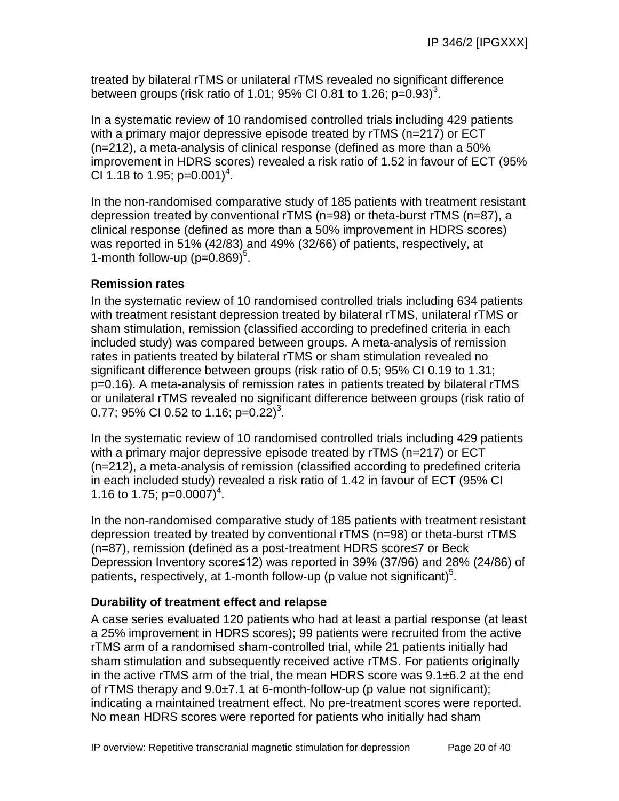treated by bilateral rTMS or unilateral rTMS revealed no significant difference between groups (risk ratio of 1.01; 95% CI 0.81 to 1.26; p= $0.93$ )<sup>3</sup>.

In a systematic review of 10 randomised controlled trials including 429 patients with a primary major depressive episode treated by rTMS (n=217) or ECT (n=212), a meta-analysis of clinical response (defined as more than a 50% improvement in HDRS scores) revealed a risk ratio of 1.52 in favour of ECT (95% CI 1.18 to 1.95; p=0.001)<sup>4</sup>.

In the non-randomised comparative study of 185 patients with treatment resistant depression treated by conventional rTMS (n=98) or theta-burst rTMS (n=87), a clinical response (defined as more than a 50% improvement in HDRS scores) was reported in 51% (42/83) and 49% (32/66) of patients, respectively, at 1-month follow-up  $(p=0.869)^5$ .

## **Remission rates**

In the systematic review of 10 randomised controlled trials including 634 patients with treatment resistant depression treated by bilateral rTMS, unilateral rTMS or sham stimulation, remission (classified according to predefined criteria in each included study) was compared between groups. A meta-analysis of remission rates in patients treated by bilateral rTMS or sham stimulation revealed no significant difference between groups (risk ratio of 0.5; 95% CI 0.19 to 1.31; p=0.16). A meta-analysis of remission rates in patients treated by bilateral rTMS or unilateral rTMS revealed no significant difference between groups (risk ratio of 0.77; 95% CI 0.52 to 1.16; p=0.22 $3^{3}$ .

In the systematic review of 10 randomised controlled trials including 429 patients with a primary major depressive episode treated by rTMS (n=217) or ECT (n=212), a meta-analysis of remission (classified according to predefined criteria in each included study) revealed a risk ratio of 1.42 in favour of ECT (95% CI 1.16 to 1.75;  $p=0.0007$ <sup>4</sup>.

In the non-randomised comparative study of 185 patients with treatment resistant depression treated by treated by conventional rTMS (n=98) or theta-burst rTMS (n=87), remission (defined as a post-treatment HDRS score≤7 or Beck Depression Inventory score≤12) was reported in 39% (37/96) and 28% (24/86) of patients, respectively, at 1-month follow-up (p value not significant)<sup>5</sup>.

## **Durability of treatment effect and relapse**

A case series evaluated 120 patients who had at least a partial response (at least a 25% improvement in HDRS scores); 99 patients were recruited from the active rTMS arm of a randomised sham-controlled trial, while 21 patients initially had sham stimulation and subsequently received active rTMS. For patients originally in the active rTMS arm of the trial, the mean HDRS score was 9.1±6.2 at the end of rTMS therapy and  $9.0\pm7.1$  at 6-month-follow-up (p value not significant); indicating a maintained treatment effect. No pre-treatment scores were reported. No mean HDRS scores were reported for patients who initially had sham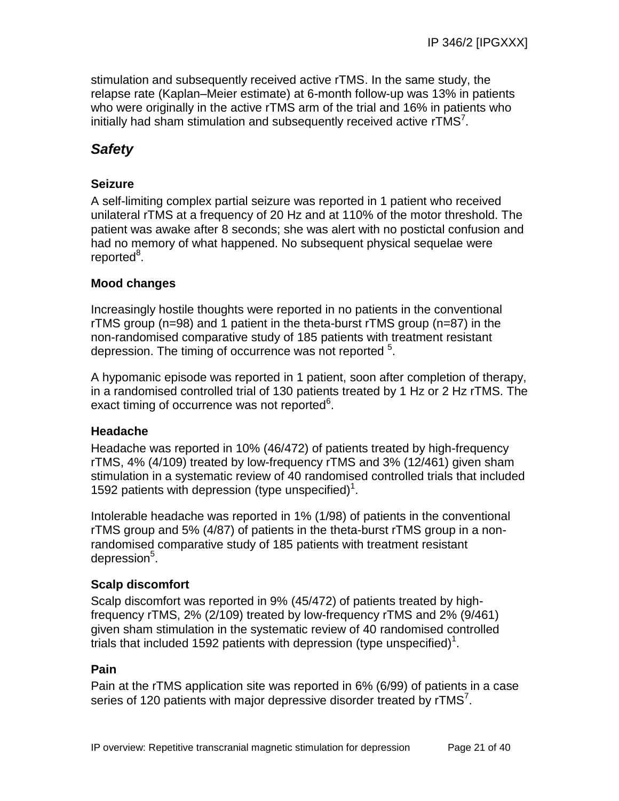stimulation and subsequently received active rTMS. In the same study, the relapse rate (Kaplan–Meier estimate) at 6-month follow-up was 13% in patients who were originally in the active rTMS arm of the trial and 16% in patients who initially had sham stimulation and subsequently received active  $rTMS<sup>7</sup>$ .

## *Safety*

## **Seizure**

A self-limiting complex partial seizure was reported in 1 patient who received unilateral rTMS at a frequency of 20 Hz and at 110% of the motor threshold. The patient was awake after 8 seconds; she was alert with no postictal confusion and had no memory of what happened. No subsequent physical sequelae were reported<sup>8</sup>.

## **Mood changes**

Increasingly hostile thoughts were reported in no patients in the conventional rTMS group (n=98) and 1 patient in the theta-burst rTMS group (n=87) in the non-randomised comparative study of 185 patients with treatment resistant depression. The timing of occurrence was not reported <sup>5</sup>.

A hypomanic episode was reported in 1 patient, soon after completion of therapy, in a randomised controlled trial of 130 patients treated by 1 Hz or 2 Hz rTMS. The exact timing of occurrence was not reported<sup>6</sup>.

## **Headache**

Headache was reported in 10% (46/472) of patients treated by high-frequency rTMS, 4% (4/109) treated by low-frequency rTMS and 3% (12/461) given sham stimulation in a systematic review of 40 randomised controlled trials that included 1592 patients with depression (type unspecified)<sup>1</sup>.

Intolerable headache was reported in 1% (1/98) of patients in the conventional rTMS group and 5% (4/87) of patients in the theta-burst rTMS group in a nonrandomised comparative study of 185 patients with treatment resistant depression<sup>5</sup>.

## **Scalp discomfort**

Scalp discomfort was reported in 9% (45/472) of patients treated by highfrequency rTMS, 2% (2/109) treated by low-frequency rTMS and 2% (9/461) given sham stimulation in the systematic review of 40 randomised controlled trials that included 1592 patients with depression (type unspecified)<sup>1</sup>.

## **Pain**

Pain at the rTMS application site was reported in 6% (6/99) of patients in a case series of 120 patients with major depressive disorder treated by  $rTMS<sup>7</sup>$ .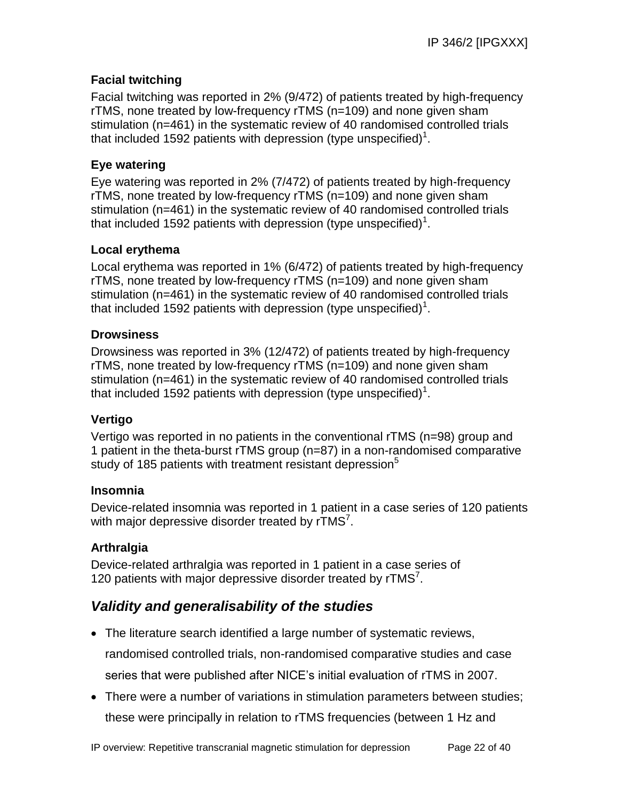## **Facial twitching**

Facial twitching was reported in 2% (9/472) of patients treated by high-frequency rTMS, none treated by low-frequency rTMS (n=109) and none given sham stimulation (n=461) in the systematic review of 40 randomised controlled trials that included 1592 patients with depression (type unspecified)<sup>1</sup>.

## **Eye watering**

Eye watering was reported in 2% (7/472) of patients treated by high-frequency rTMS, none treated by low-frequency rTMS (n=109) and none given sham stimulation (n=461) in the systematic review of 40 randomised controlled trials that included 1592 patients with depression (type unspecified)<sup>1</sup>.

## **Local erythema**

Local erythema was reported in 1% (6/472) of patients treated by high-frequency rTMS, none treated by low-frequency rTMS (n=109) and none given sham stimulation (n=461) in the systematic review of 40 randomised controlled trials that included 1592 patients with depression (type unspecified)<sup>1</sup>.

## **Drowsiness**

Drowsiness was reported in 3% (12/472) of patients treated by high-frequency rTMS, none treated by low-frequency rTMS (n=109) and none given sham stimulation (n=461) in the systematic review of 40 randomised controlled trials that included 1592 patients with depression (type unspecified)<sup>1</sup>.

## **Vertigo**

Vertigo was reported in no patients in the conventional rTMS (n=98) group and 1 patient in the theta-burst rTMS group (n=87) in a non-randomised comparative study of 185 patients with treatment resistant depression<sup>5</sup>

### **Insomnia**

Device-related insomnia was reported in 1 patient in a case series of 120 patients with major depressive disorder treated by  $rTMS<sup>7</sup>$ .

## **Arthralgia**

Device-related arthralgia was reported in 1 patient in a case series of 120 patients with major depressive disorder treated by rTMS<sup>7</sup>.

## *Validity and generalisability of the studies*

 The literature search identified a large number of systematic reviews, randomised controlled trials, non-randomised comparative studies and case

series that were published after NICE's initial evaluation of rTMS in 2007.

• There were a number of variations in stimulation parameters between studies; these were principally in relation to rTMS frequencies (between 1 Hz and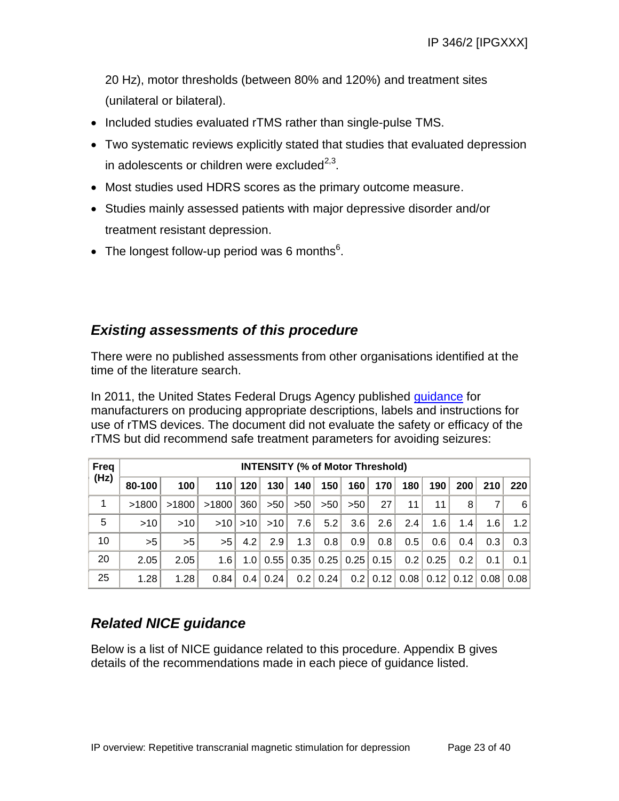20 Hz), motor thresholds (between 80% and 120%) and treatment sites (unilateral or bilateral).

- Included studies evaluated rTMS rather than single-pulse TMS.
- Two systematic reviews explicitly stated that studies that evaluated depression in adolescents or children were excluded $^{2,3}$ .
- Most studies used HDRS scores as the primary outcome measure.
- Studies mainly assessed patients with major depressive disorder and/or treatment resistant depression.
- The longest follow-up period was 6 months $6$ .

## *Existing assessments of this procedure*

There were no published assessments from other organisations identified at the time of the literature search.

In 2011, the United States Federal Drugs Agency published [guidance](http://www.fda.gov/medicaldevices/deviceregulationandguidance/guidancedocuments/ucm265269.htm) for manufacturers on producing appropriate descriptions, labels and instructions for use of rTMS devices. The document did not evaluate the safety or efficacy of the rTMS but did recommend safe treatment parameters for avoiding seizures:

| Freq | <b>INTENSITY (% of Motor Threshold)</b> |       |       |         |                                          |      |      |     |                 |      |      |      |      |      |
|------|-----------------------------------------|-------|-------|---------|------------------------------------------|------|------|-----|-----------------|------|------|------|------|------|
| (Hz) | 80-100                                  | 100   |       | 110 120 | 130                                      | 140  | 150  | 160 | 170             | 180  | 190  | 200  | 210  | 220  |
| 1    | >1800                                   | >1800 | >1800 | 360     | >50                                      | >50  | >50  | >50 | 27 <sup>1</sup> | 11   | 11   | 8    |      | 6    |
| 5    | >10                                     | >10   | >10   | >10     | >10                                      | 7.61 | 5.2  | 3.6 | 2.6             | 2.4  | 1.6  | 1.4  | 1.6  | 1.2  |
| 10   | >5                                      | >5    | >5    | 4.2     | 2.9                                      | 1.3  | 0.8  | 0.9 | 0.8             | 0.5  | 0.6  | 0.4  | 0.3  | 0.3  |
| 20   | 2.05                                    | 2.05  | 1.6   |         | $1.0$   0.55   0.35   0.25   0.25   0.15 |      |      |     |                 | 0.2  | 0.25 | 0.2  | 0.1  | 0.1  |
| 25   | 1.28                                    | 1.28  | 0.84  | 0.4     | 0.24                                     | 0.2  | 0.24 |     | $0.2$   0.12    | 0.08 | 0.12 | 0.12 | 0.08 | 0.08 |

## *Related NICE guidance*

Below is a list of NICE guidance related to this procedure. Appendix B gives details of the recommendations made in each piece of guidance listed.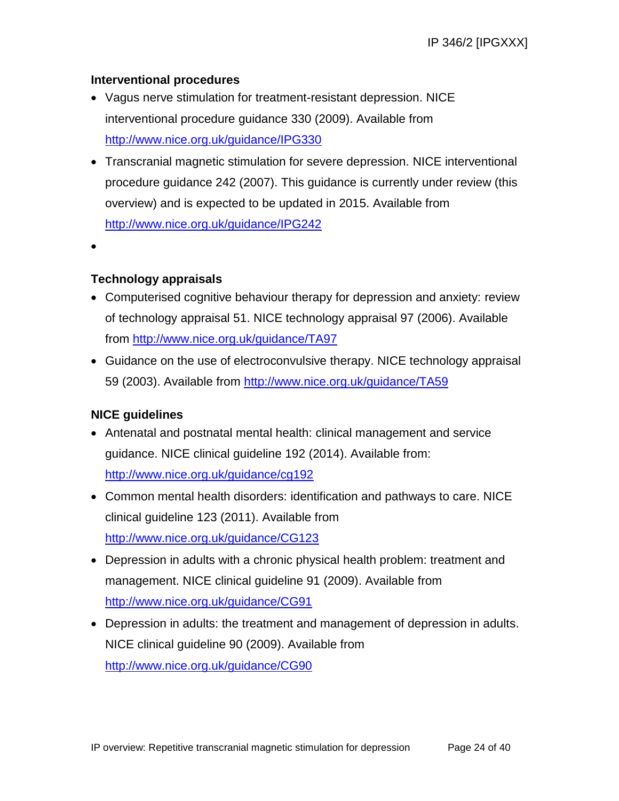## **Interventional procedures**

- Vagus nerve stimulation for treatment-resistant depression. NICE interventional procedure guidance 330 (2009). Available from <http://www.nice.org.uk/guidance/IPG330>
- Transcranial magnetic stimulation for severe depression. NICE interventional procedure guidance 242 (2007). This guidance is currently under review (this overview) and is expected to be updated in 2015. Available from <http://www.nice.org.uk/guidance/IPG242>
- $\bullet$

## **Technology appraisals**

- Computerised cognitive behaviour therapy for depression and anxiety: review of technology appraisal 51. NICE technology appraisal 97 (2006). Available from<http://www.nice.org.uk/guidance/TA97>
- Guidance on the use of electroconvulsive therapy. NICE technology appraisal 59 (2003). Available from<http://www.nice.org.uk/guidance/TA59>

## **NICE guidelines**

- Antenatal and postnatal mental health: clinical management and service guidance. NICE clinical guideline 192 (2014). Available from: <http://www.nice.org.uk/guidance/cg192>
- Common mental health disorders: identification and pathways to care. NICE clinical guideline 123 (2011). Available from <http://www.nice.org.uk/guidance/CG123>
- Depression in adults with a chronic physical health problem: treatment and management. NICE clinical guideline 91 (2009). Available from <http://www.nice.org.uk/guidance/CG91>
- Depression in adults: the treatment and management of depression in adults. NICE clinical guideline 90 (2009). Available from <http://www.nice.org.uk/guidance/CG90>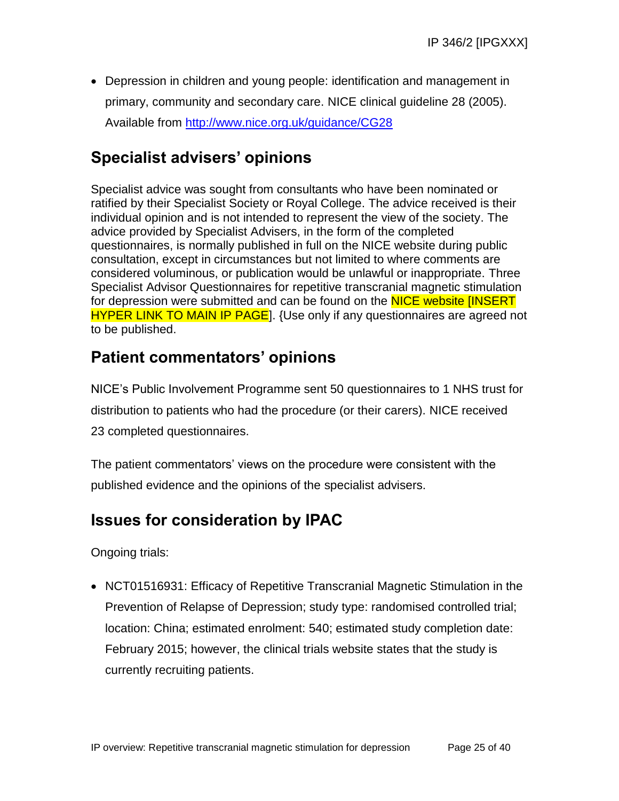Depression in children and young people: identification and management in primary, community and secondary care. NICE clinical guideline 28 (2005). Available from<http://www.nice.org.uk/guidance/CG28>

# **Specialist advisers' opinions**

Specialist advice was sought from consultants who have been nominated or ratified by their Specialist Society or Royal College. The advice received is their individual opinion and is not intended to represent the view of the society. The advice provided by Specialist Advisers, in the form of the completed questionnaires, is normally published in full on the NICE website during public consultation, except in circumstances but not limited to where comments are considered voluminous, or publication would be unlawful or inappropriate. Three Specialist Advisor Questionnaires for repetitive transcranial magnetic stimulation for depression were submitted and can be found on the NICE website [INSERT] **HYPER LINK TO MAIN IP PAGE**]. {Use only if any questionnaires are agreed not to be published.

# **Patient commentators' opinions**

NICE's Public Involvement Programme sent 50 questionnaires to 1 NHS trust for distribution to patients who had the procedure (or their carers). NICE received 23 completed questionnaires.

The patient commentators' views on the procedure were consistent with the published evidence and the opinions of the specialist advisers.

# **Issues for consideration by IPAC**

Ongoing trials:

 NCT01516931: Efficacy of Repetitive Transcranial Magnetic Stimulation in the Prevention of Relapse of Depression; study type: randomised controlled trial; location: China; estimated enrolment: 540; estimated study completion date: February 2015; however, the clinical trials website states that the study is currently recruiting patients.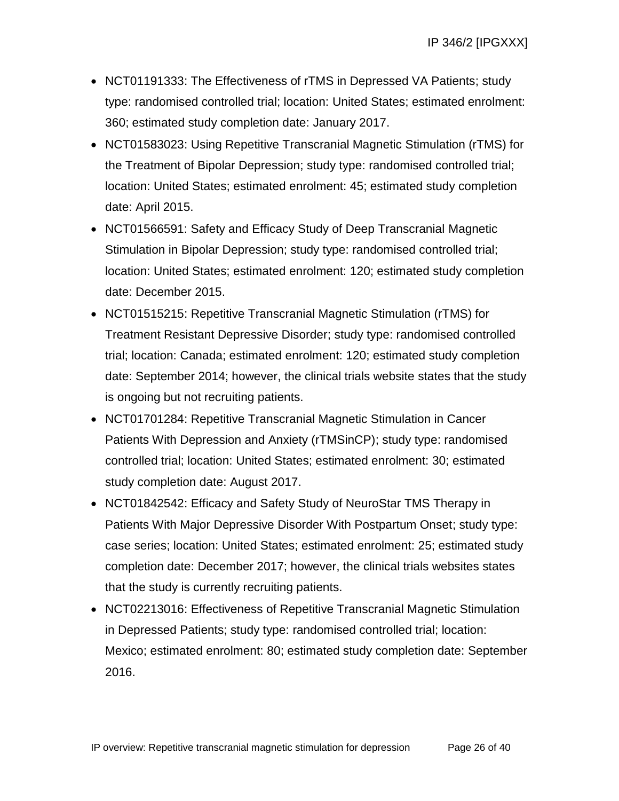- NCT01191333: The Effectiveness of rTMS in Depressed VA Patients; study type: randomised controlled trial; location: United States; estimated enrolment: 360; estimated study completion date: January 2017.
- NCT01583023: Using Repetitive Transcranial Magnetic Stimulation (rTMS) for the Treatment of Bipolar Depression; study type: randomised controlled trial; location: United States; estimated enrolment: 45; estimated study completion date: April 2015.
- NCT01566591: Safety and Efficacy Study of Deep Transcranial Magnetic Stimulation in Bipolar Depression; study type: randomised controlled trial; location: United States; estimated enrolment: 120; estimated study completion date: December 2015.
- NCT01515215: Repetitive Transcranial Magnetic Stimulation (rTMS) for Treatment Resistant Depressive Disorder; study type: randomised controlled trial; location: Canada; estimated enrolment: 120; estimated study completion date: September 2014; however, the clinical trials website states that the study is ongoing but not recruiting patients.
- NCT01701284: Repetitive Transcranial Magnetic Stimulation in Cancer Patients With Depression and Anxiety (rTMSinCP); study type: randomised controlled trial; location: United States; estimated enrolment: 30; estimated study completion date: August 2017.
- NCT01842542: Efficacy and Safety Study of NeuroStar TMS Therapy in Patients With Major Depressive Disorder With Postpartum Onset; study type: case series; location: United States; estimated enrolment: 25; estimated study completion date: December 2017; however, the clinical trials websites states that the study is currently recruiting patients.
- NCT02213016: Effectiveness of Repetitive Transcranial Magnetic Stimulation in Depressed Patients; study type: randomised controlled trial; location: Mexico; estimated enrolment: 80; estimated study completion date: September 2016.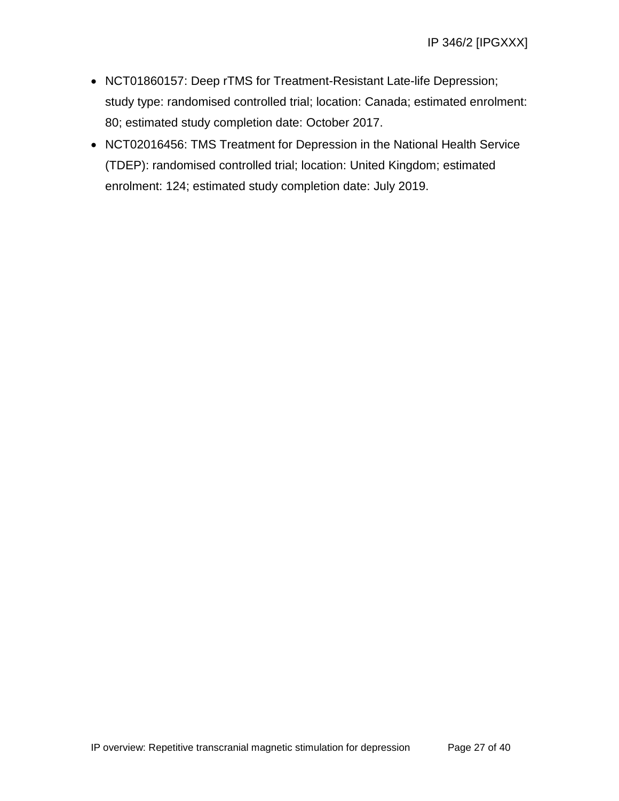- NCT01860157: Deep rTMS for Treatment-Resistant Late-life Depression; study type: randomised controlled trial; location: Canada; estimated enrolment: 80; estimated study completion date: October 2017.
- NCT02016456: TMS Treatment for Depression in the National Health Service (TDEP): randomised controlled trial; location: United Kingdom; estimated enrolment: 124; estimated study completion date: July 2019.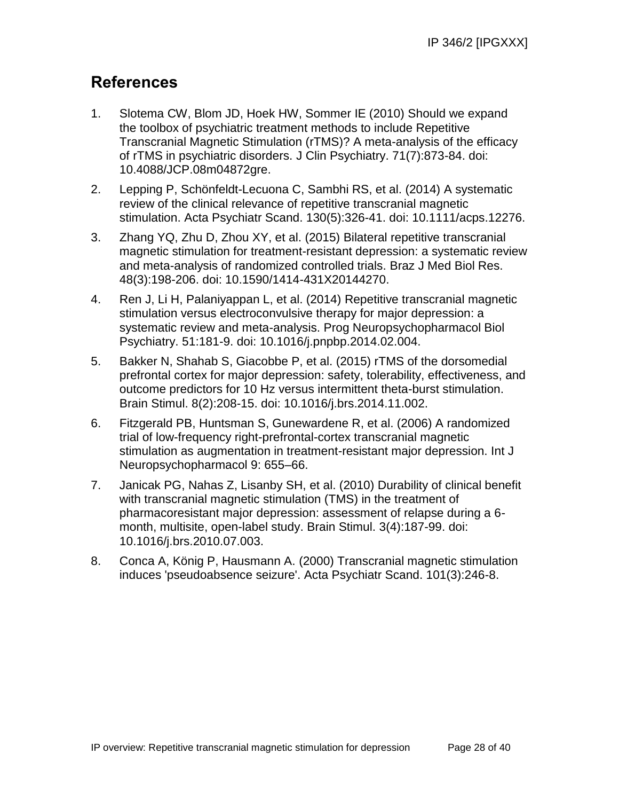# **References**

- 1. Slotema CW, Blom JD, Hoek HW, Sommer IE (2010) Should we expand the toolbox of psychiatric treatment methods to include Repetitive Transcranial Magnetic Stimulation (rTMS)? A meta-analysis of the efficacy of rTMS in psychiatric disorders. J Clin Psychiatry. 71(7):873-84. doi: 10.4088/JCP.08m04872gre.
- 2. Lepping P, Schönfeldt-Lecuona C, Sambhi RS, et al. (2014) A systematic review of the clinical relevance of repetitive transcranial magnetic stimulation. Acta Psychiatr Scand. 130(5):326-41. doi: 10.1111/acps.12276.
- 3. Zhang YQ, Zhu D, Zhou XY, et al. (2015) Bilateral repetitive transcranial magnetic stimulation for treatment-resistant depression: a systematic review and meta-analysis of randomized controlled trials. Braz J Med Biol Res. 48(3):198-206. doi: 10.1590/1414-431X20144270.
- 4. Ren J, Li H, Palaniyappan L, et al. (2014) Repetitive transcranial magnetic stimulation versus electroconvulsive therapy for major depression: a systematic review and meta-analysis. Prog Neuropsychopharmacol Biol Psychiatry. 51:181-9. doi: 10.1016/j.pnpbp.2014.02.004.
- 5. Bakker N, Shahab S, Giacobbe P, et al. (2015) rTMS of the dorsomedial prefrontal cortex for major depression: safety, tolerability, effectiveness, and outcome predictors for 10 Hz versus intermittent theta-burst stimulation. Brain Stimul. 8(2):208-15. doi: 10.1016/j.brs.2014.11.002.
- 6. Fitzgerald PB, Huntsman S, Gunewardene R, et al. (2006) A randomized trial of low-frequency right-prefrontal-cortex transcranial magnetic stimulation as augmentation in treatment-resistant major depression. Int J Neuropsychopharmacol 9: 655–66.
- 7. Janicak PG, Nahas Z, Lisanby SH, et al. (2010) Durability of clinical benefit with transcranial magnetic stimulation (TMS) in the treatment of pharmacoresistant major depression: assessment of relapse during a 6 month, multisite, open-label study. Brain Stimul. 3(4):187-99. doi: 10.1016/j.brs.2010.07.003.
- 8. Conca A, König P, Hausmann A. (2000) Transcranial magnetic stimulation induces 'pseudoabsence seizure'. Acta Psychiatr Scand. 101(3):246-8.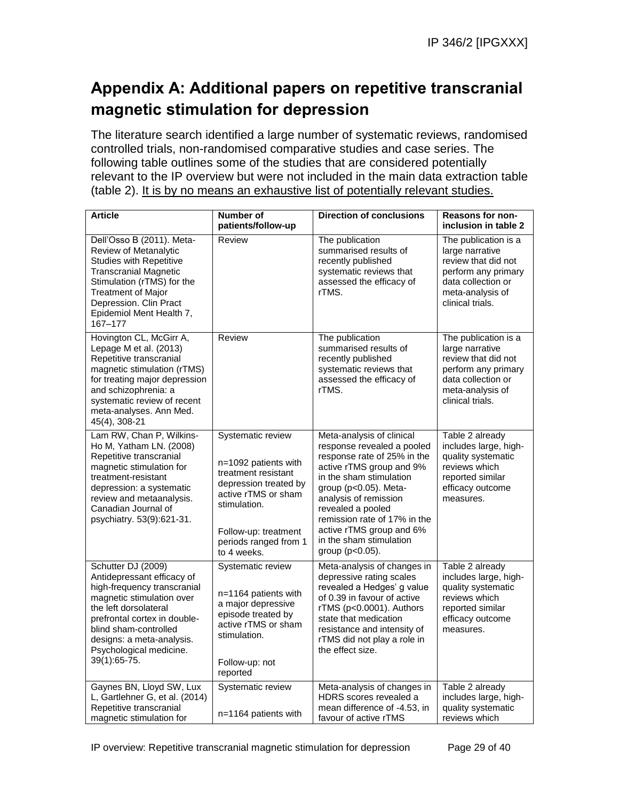# **Appendix A: Additional papers on repetitive transcranial magnetic stimulation for depression**

The literature search identified a large number of systematic reviews, randomised controlled trials, non-randomised comparative studies and case series. The following table outlines some of the studies that are considered potentially relevant to the IP overview but were not included in the main data extraction table (table 2). It is by no means an exhaustive list of potentially relevant studies.

| <b>Article</b>                                                                                                                                                                                                                                                         | <b>Number of</b><br>patients/follow-up                                                                                                                                                           | <b>Direction of conclusions</b>                                                                                                                                                                                                                                                                                                | <b>Reasons for non-</b><br>inclusion in table 2                                                                                                     |
|------------------------------------------------------------------------------------------------------------------------------------------------------------------------------------------------------------------------------------------------------------------------|--------------------------------------------------------------------------------------------------------------------------------------------------------------------------------------------------|--------------------------------------------------------------------------------------------------------------------------------------------------------------------------------------------------------------------------------------------------------------------------------------------------------------------------------|-----------------------------------------------------------------------------------------------------------------------------------------------------|
| Dell'Osso B (2011). Meta-<br>Review of Metanalytic<br><b>Studies with Repetitive</b><br><b>Transcranial Magnetic</b><br>Stimulation (rTMS) for the<br><b>Treatment of Major</b><br>Depression. Clin Pract<br>Epidemiol Ment Health 7,<br>167-177                       | Review                                                                                                                                                                                           | The publication<br>summarised results of<br>recently published<br>systematic reviews that<br>assessed the efficacy of<br>rTMS.                                                                                                                                                                                                 | The publication is a<br>large narrative<br>review that did not<br>perform any primary<br>data collection or<br>meta-analysis of<br>clinical trials. |
| Hovington CL, McGirr A,<br>Lepage M et al. (2013)<br>Repetitive transcranial<br>magnetic stimulation (rTMS)<br>for treating major depression<br>and schizophrenia: a<br>systematic review of recent<br>meta-analyses. Ann Med.<br>45(4), 308-21                        | Review                                                                                                                                                                                           | The publication<br>summarised results of<br>recently published<br>systematic reviews that<br>assessed the efficacy of<br>rTMS.                                                                                                                                                                                                 | The publication is a<br>large narrative<br>review that did not<br>perform any primary<br>data collection or<br>meta-analysis of<br>clinical trials. |
| Lam RW, Chan P, Wilkins-<br>Ho M, Yatham LN. (2008)<br>Repetitive transcranial<br>magnetic stimulation for<br>treatment-resistant<br>depression: a systematic<br>review and metaanalysis.<br>Canadian Journal of<br>psychiatry. 53(9):621-31.                          | Systematic review<br>n=1092 patients with<br>treatment resistant<br>depression treated by<br>active rTMS or sham<br>stimulation.<br>Follow-up: treatment<br>periods ranged from 1<br>to 4 weeks. | Meta-analysis of clinical<br>response revealed a pooled<br>response rate of 25% in the<br>active rTMS group and 9%<br>in the sham stimulation<br>group (p<0.05). Meta-<br>analysis of remission<br>revealed a pooled<br>remission rate of 17% in the<br>active rTMS group and 6%<br>in the sham stimulation<br>group (p<0.05). | Table 2 already<br>includes large, high-<br>quality systematic<br>reviews which<br>reported similar<br>efficacy outcome<br>measures.                |
| Schutter DJ (2009)<br>Antidepressant efficacy of<br>high-frequency transcranial<br>magnetic stimulation over<br>the left dorsolateral<br>prefrontal cortex in double-<br>blind sham-controlled<br>designs: a meta-analysis.<br>Psychological medicine.<br>39(1):65-75. | Systematic review<br>n=1164 patients with<br>a major depressive<br>episode treated by<br>active rTMS or sham<br>stimulation.<br>Follow-up: not<br>reported                                       | Meta-analysis of changes in<br>depressive rating scales<br>revealed a Hedges' g value<br>of 0.39 in favour of active<br>rTMS (p<0.0001). Authors<br>state that medication<br>resistance and intensity of<br>rTMS did not play a role in<br>the effect size.                                                                    | Table 2 already<br>includes large, high-<br>quality systematic<br>reviews which<br>reported similar<br>efficacy outcome<br>measures.                |
| Gaynes BN, Lloyd SW, Lux<br>L, Gartlehner G, et al. (2014)<br>Repetitive transcranial<br>magnetic stimulation for                                                                                                                                                      | Systematic review<br>n=1164 patients with                                                                                                                                                        | Meta-analysis of changes in<br>HDRS scores revealed a<br>mean difference of -4.53, in<br>favour of active rTMS                                                                                                                                                                                                                 | Table 2 already<br>includes large, high-<br>quality systematic<br>reviews which                                                                     |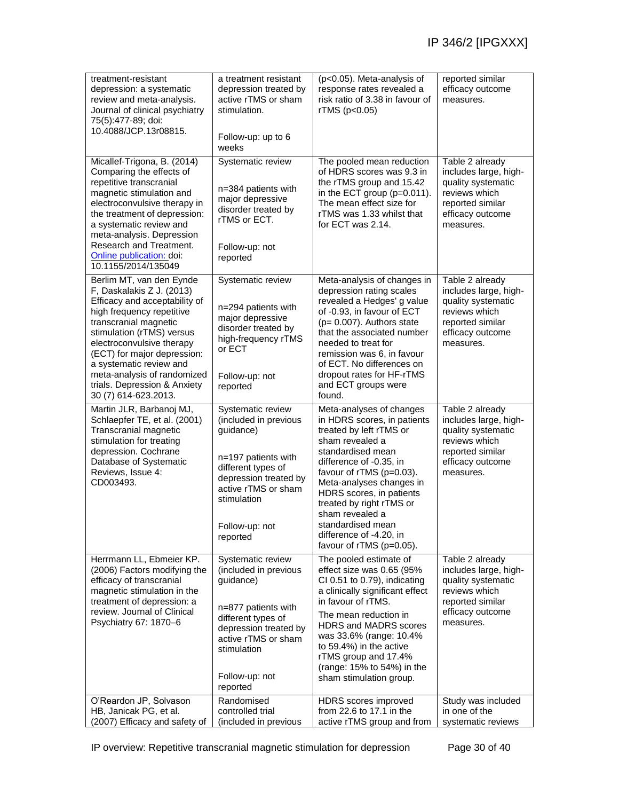| treatment-resistant<br>depression: a systematic<br>review and meta-analysis.<br>Journal of clinical psychiatry<br>75(5):477-89; doi:<br>10.4088/JCP.13r08815.                                                                                                                                                                                           | a treatment resistant<br>depression treated by<br>active rTMS or sham<br>stimulation.<br>Follow-up: up to 6<br>weeks                                                                              | (p<0.05). Meta-analysis of<br>response rates revealed a<br>risk ratio of 3.38 in favour of<br>rTMS (p<0.05)                                                                                                                                                                                                                                                                | reported similar<br>efficacy outcome<br>measures.                                                                                    |
|---------------------------------------------------------------------------------------------------------------------------------------------------------------------------------------------------------------------------------------------------------------------------------------------------------------------------------------------------------|---------------------------------------------------------------------------------------------------------------------------------------------------------------------------------------------------|----------------------------------------------------------------------------------------------------------------------------------------------------------------------------------------------------------------------------------------------------------------------------------------------------------------------------------------------------------------------------|--------------------------------------------------------------------------------------------------------------------------------------|
| Micallef-Trigona, B. (2014)<br>Comparing the effects of<br>repetitive transcranial<br>magnetic stimulation and<br>electroconvulsive therapy in<br>the treatment of depression:<br>a systematic review and<br>meta-analysis. Depression<br>Research and Treatment.<br>Online publication: doi:<br>10.1155/2014/135049                                    | Systematic review<br>n=384 patients with<br>major depressive<br>disorder treated by<br>rTMS or ECT.<br>Follow-up: not<br>reported                                                                 | The pooled mean reduction<br>of HDRS scores was 9.3 in<br>the rTMS group and 15.42<br>in the ECT group ( $p=0.011$ ).<br>The mean effect size for<br>rTMS was 1.33 whilst that<br>for ECT was 2.14.                                                                                                                                                                        | Table 2 already<br>includes large, high-<br>quality systematic<br>reviews which<br>reported similar<br>efficacy outcome<br>measures. |
| Berlim MT, van den Eynde<br>F, Daskalakis Z J. (2013)<br>Efficacy and acceptability of<br>high frequency repetitive<br>transcranial magnetic<br>stimulation (rTMS) versus<br>electroconvulsive therapy<br>(ECT) for major depression:<br>a systematic review and<br>meta-analysis of randomized<br>trials. Depression & Anxiety<br>30 (7) 614-623.2013. | Systematic review<br>n=294 patients with<br>major depressive<br>disorder treated by<br>high-frequency rTMS<br>or ECT<br>Follow-up: not<br>reported                                                | Meta-analysis of changes in<br>depression rating scales<br>revealed a Hedges' g value<br>of -0.93, in favour of ECT<br>$(p= 0.007)$ . Authors state<br>that the associated number<br>needed to treat for<br>remission was 6, in favour<br>of ECT. No differences on<br>dropout rates for HF-rTMS<br>and ECT groups were<br>found.                                          | Table 2 already<br>includes large, high-<br>quality systematic<br>reviews which<br>reported similar<br>efficacy outcome<br>measures. |
| Martin JLR, Barbanoj MJ,<br>Schlaepfer TE, et al. (2001)<br>Transcranial magnetic<br>stimulation for treating<br>depression. Cochrane<br>Database of Systematic<br>Reviews, Issue 4:<br>CD003493.                                                                                                                                                       | Systematic review<br>(included in previous<br>guidance)<br>n=197 patients with<br>different types of<br>depression treated by<br>active rTMS or sham<br>stimulation<br>Follow-up: not<br>reported | Meta-analyses of changes<br>in HDRS scores, in patients<br>treated by left rTMS or<br>sham revealed a<br>standardised mean<br>difference of -0.35, in<br>favour of rTMS (p=0.03).<br>Meta-analyses changes in<br>HDRS scores, in patients<br>treated by right rTMS or<br>sham revealed a<br>standardised mean<br>difference of -4.20, in<br>favour of $rTMS$ ( $p=0.05$ ). | Table 2 already<br>includes large, high-<br>quality systematic<br>reviews which<br>reported similar<br>efficacy outcome<br>measures. |
| Herrmann LL, Ebmeier KP.<br>(2006) Factors modifying the<br>efficacy of transcranial<br>magnetic stimulation in the<br>treatment of depression: a<br>review. Journal of Clinical<br>Psychiatry 67: 1870-6                                                                                                                                               | Systematic review<br>(included in previous<br>guidance)<br>n=877 patients with<br>different types of<br>depression treated by<br>active rTMS or sham<br>stimulation<br>Follow-up: not<br>reported | The pooled estimate of<br>effect size was 0.65 (95%<br>CI 0.51 to 0.79), indicating<br>a clinically significant effect<br>in favour of rTMS.<br>The mean reduction in<br><b>HDRS and MADRS scores</b><br>was 33.6% (range: 10.4%<br>to 59.4%) in the active<br>rTMS group and 17.4%<br>(range: 15% to 54%) in the<br>sham stimulation group.                               | Table 2 already<br>includes large, high-<br>quality systematic<br>reviews which<br>reported similar<br>efficacy outcome<br>measures. |
| O'Reardon JP, Solvason<br>HB, Janicak PG, et al.<br>(2007) Efficacy and safety of                                                                                                                                                                                                                                                                       | Randomised<br>controlled trial<br>(included in previous                                                                                                                                           | HDRS scores improved<br>from 22.6 to 17.1 in the<br>active rTMS group and from                                                                                                                                                                                                                                                                                             | Study was included<br>in one of the<br>systematic reviews                                                                            |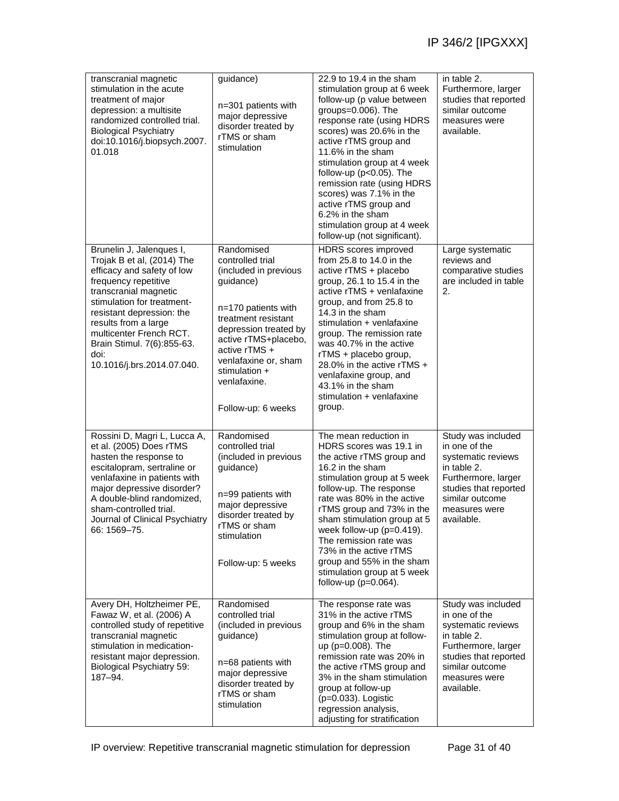| transcranial magnetic<br>stimulation in the acute<br>treatment of major<br>depression: a multisite<br>randomized controlled trial.<br><b>Biological Psychiatry</b><br>doi:10.1016/j.biopsych.2007.<br>01.018                                                                                                            | guidance)<br>n=301 patients with<br>major depressive<br>disorder treated by<br>rTMS or sham<br>stimulation                                                                                                                                                            | 22.9 to 19.4 in the sham<br>stimulation group at 6 week<br>follow-up (p value between<br>groups=0.006). The<br>response rate (using HDRS<br>scores) was 20.6% in the<br>active rTMS group and<br>11.6% in the sham<br>stimulation group at 4 week<br>follow-up ( $p<0.05$ ). The<br>remission rate (using HDRS<br>scores) was 7.1% in the<br>active rTMS group and<br>6.2% in the sham<br>stimulation group at 4 week<br>follow-up (not significant). | in table 2.<br>Furthermore, larger<br>studies that reported<br>similar outcome<br>measures were<br>available.                                                              |
|-------------------------------------------------------------------------------------------------------------------------------------------------------------------------------------------------------------------------------------------------------------------------------------------------------------------------|-----------------------------------------------------------------------------------------------------------------------------------------------------------------------------------------------------------------------------------------------------------------------|-------------------------------------------------------------------------------------------------------------------------------------------------------------------------------------------------------------------------------------------------------------------------------------------------------------------------------------------------------------------------------------------------------------------------------------------------------|----------------------------------------------------------------------------------------------------------------------------------------------------------------------------|
| Brunelin J, Jalenques I,<br>Trojak B et al, (2014) The<br>efficacy and safety of low<br>frequency repetitive<br>transcranial magnetic<br>stimulation for treatment-<br>resistant depression: the<br>results from a large<br>multicenter French RCT.<br>Brain Stimul. 7(6):855-63.<br>doi:<br>10.1016/j.brs.2014.07.040. | Randomised<br>controlled trial<br>(included in previous<br>guidance)<br>$n=170$ patients with<br>treatment resistant<br>depression treated by<br>active rTMS+placebo,<br>active rTMS +<br>venlafaxine or, sham<br>stimulation +<br>venlafaxine.<br>Follow-up: 6 weeks | HDRS scores improved<br>from $25.8$ to 14.0 in the<br>active rTMS + placebo<br>group, 26.1 to 15.4 in the<br>active rTMS + venlafaxine<br>group, and from 25.8 to<br>14.3 in the sham<br>stimulation + venlafaxine<br>group. The remission rate<br>was 40.7% in the active<br>rTMS + placebo group,<br>28.0% in the active rTMS +<br>venlafaxine group, and<br>43.1% in the sham<br>stimulation + venlafaxine<br>group.                               | Large systematic<br>reviews and<br>comparative studies<br>are included in table<br>2.                                                                                      |
| Rossini D, Magri L, Lucca A,<br>et al. (2005) Does rTMS<br>hasten the response to<br>escitalopram, sertraline or<br>venlafaxine in patients with<br>major depressive disorder?<br>A double-blind randomized.<br>sham-controlled trial.<br>Journal of Clinical Psychiatry<br>66: 1569-75.                                | Randomised<br>controlled trial<br>(included in previous<br>guidance)<br>n=99 patients with<br>major depressive<br>disorder treated by<br>rTMS or sham<br>stimulation<br>Follow-up: 5 weeks                                                                            | The mean reduction in<br>HDRS scores was 19.1 in<br>the active rTMS group and<br>16.2 in the sham<br>stimulation group at 5 week<br>follow-up. The response<br>rate was 80% in the active<br>rTMS group and 73% in the<br>sham stimulation group at 5<br>week follow-up (p=0.419).<br>The remission rate was<br>73% in the active rTMS<br>group and 55% in the sham<br>stimulation group at 5 week<br>follow-up $(p=0.064)$ .                         | Study was included<br>in one of the<br>systematic reviews<br>in table 2.<br>Furthermore, larger<br>studies that reported<br>similar outcome<br>measures were<br>available. |
| Avery DH, Holtzheimer PE,<br>Fawaz W, et al. (2006) A<br>controlled study of repetitive<br>transcranial magnetic<br>stimulation in medication-<br>resistant major depression.<br>Biological Psychiatry 59:<br>$187 - 94.$                                                                                               | Randomised<br>controlled trial<br>(included in previous<br>guidance)<br>n=68 patients with<br>major depressive<br>disorder treated by<br>rTMS or sham<br>stimulation                                                                                                  | The response rate was<br>31% in the active rTMS<br>group and 6% in the sham<br>stimulation group at follow-<br>up (p=0.008). The<br>remission rate was 20% in<br>the active rTMS group and<br>3% in the sham stimulation<br>group at follow-up<br>$(p=0.033)$ . Logistic<br>regression analysis,<br>adjusting for stratification                                                                                                                      | Study was included<br>in one of the<br>systematic reviews<br>in table 2.<br>Furthermore, larger<br>studies that reported<br>similar outcome<br>measures were<br>available. |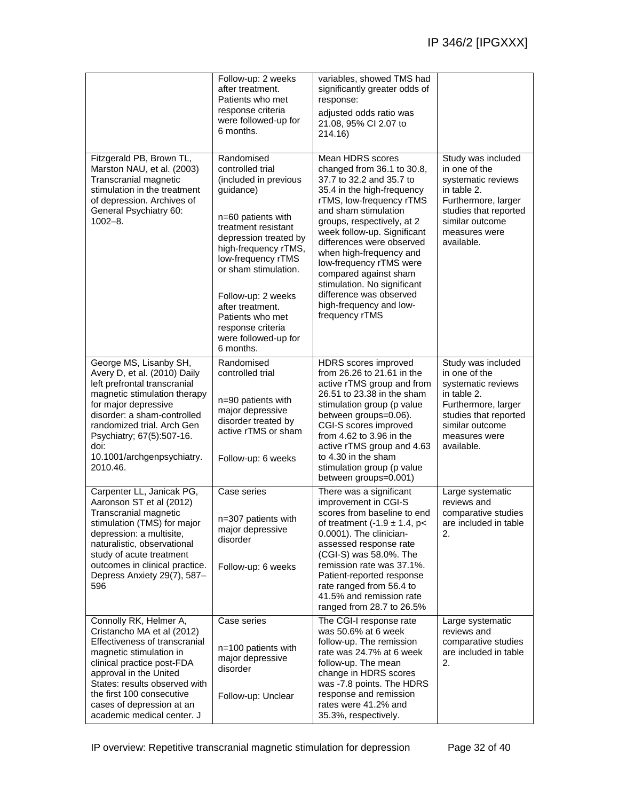|                                                                                                                                                                                                                                                                                                   | Follow-up: 2 weeks<br>after treatment.<br>Patients who met<br>response criteria<br>were followed-up for<br>6 months.                                                                                                                                                                                                                     | variables, showed TMS had<br>significantly greater odds of<br>response:<br>adjusted odds ratio was<br>21.08, 95% Cl 2.07 to<br>214.16)                                                                                                                                                                                                                                                                                                       |                                                                                                                                                                            |
|---------------------------------------------------------------------------------------------------------------------------------------------------------------------------------------------------------------------------------------------------------------------------------------------------|------------------------------------------------------------------------------------------------------------------------------------------------------------------------------------------------------------------------------------------------------------------------------------------------------------------------------------------|----------------------------------------------------------------------------------------------------------------------------------------------------------------------------------------------------------------------------------------------------------------------------------------------------------------------------------------------------------------------------------------------------------------------------------------------|----------------------------------------------------------------------------------------------------------------------------------------------------------------------------|
| Fitzgerald PB, Brown TL,<br>Marston NAU, et al. (2003)<br>Transcranial magnetic<br>stimulation in the treatment<br>of depression. Archives of<br>General Psychiatry 60:<br>$1002 - 8.$                                                                                                            | Randomised<br>controlled trial<br>(included in previous<br>guidance)<br>n=60 patients with<br>treatment resistant<br>depression treated by<br>high-frequency rTMS,<br>low-frequency rTMS<br>or sham stimulation.<br>Follow-up: 2 weeks<br>after treatment.<br>Patients who met<br>response criteria<br>were followed-up for<br>6 months. | Mean HDRS scores<br>changed from 36.1 to 30.8,<br>37.7 to 32.2 and 35.7 to<br>35.4 in the high-frequency<br>rTMS, low-frequency rTMS<br>and sham stimulation<br>groups, respectively, at 2<br>week follow-up. Significant<br>differences were observed<br>when high-frequency and<br>low-frequency rTMS were<br>compared against sham<br>stimulation. No significant<br>difference was observed<br>high-frequency and low-<br>frequency rTMS | Study was included<br>in one of the<br>systematic reviews<br>in table 2.<br>Furthermore, larger<br>studies that reported<br>similar outcome<br>measures were<br>available. |
| George MS, Lisanby SH,<br>Avery D, et al. (2010) Daily<br>left prefrontal transcranial<br>magnetic stimulation therapy<br>for major depressive<br>disorder: a sham-controlled<br>randomized trial. Arch Gen<br>Psychiatry; 67(5):507-16.<br>doi:<br>10.1001/archgenpsychiatry.<br>2010.46.        | Randomised<br>controlled trial<br>n=90 patients with<br>major depressive<br>disorder treated by<br>active rTMS or sham<br>Follow-up: 6 weeks                                                                                                                                                                                             | HDRS scores improved<br>from 26.26 to 21.61 in the<br>active rTMS group and from<br>26.51 to 23.38 in the sham<br>stimulation group (p value<br>between groups=0.06).<br>CGI-S scores improved<br>from $4.62$ to $3.96$ in the<br>active rTMS group and 4.63<br>to 4.30 in the sham<br>stimulation group (p value<br>between groups=0.001)                                                                                                   | Study was included<br>in one of the<br>systematic reviews<br>in table 2.<br>Furthermore, larger<br>studies that reported<br>similar outcome<br>measures were<br>available. |
| Carpenter LL, Janicak PG,<br>Aaronson ST et al (2012)<br>Transcranial magnetic<br>stimulation (TMS) for major<br>depression: a multisite,<br>naturalistic, observational<br>study of acute treatment<br>outcomes in clinical practice.<br>Depress Anxiety 29(7), 587-<br>596                      | Case series<br>n=307 patients with<br>major depressive<br>disorder<br>Follow-up: 6 weeks                                                                                                                                                                                                                                                 | There was a significant<br>improvement in CGI-S<br>scores from baseline to end<br>of treatment $(-1.9 \pm 1.4, p<$<br>0.0001). The clinician-<br>assessed response rate<br>(CGI-S) was 58.0%. The<br>remission rate was 37.1%.<br>Patient-reported response<br>rate ranged from 56.4 to<br>41.5% and remission rate<br>ranged from 28.7 to 26.5%                                                                                             | Large systematic<br>reviews and<br>comparative studies<br>are included in table<br>2.                                                                                      |
| Connolly RK, Helmer A,<br>Cristancho MA et al (2012)<br>Effectiveness of transcranial<br>magnetic stimulation in<br>clinical practice post-FDA<br>approval in the United<br>States: results observed with<br>the first 100 consecutive<br>cases of depression at an<br>academic medical center. J | Case series<br>n=100 patients with<br>major depressive<br>disorder<br>Follow-up: Unclear                                                                                                                                                                                                                                                 | The CGI-I response rate<br>was 50.6% at 6 week<br>follow-up. The remission<br>rate was 24.7% at 6 week<br>follow-up. The mean<br>change in HDRS scores<br>was -7.8 points. The HDRS<br>response and remission<br>rates were 41.2% and<br>35.3%, respectively.                                                                                                                                                                                | Large systematic<br>reviews and<br>comparative studies<br>are included in table<br>2.                                                                                      |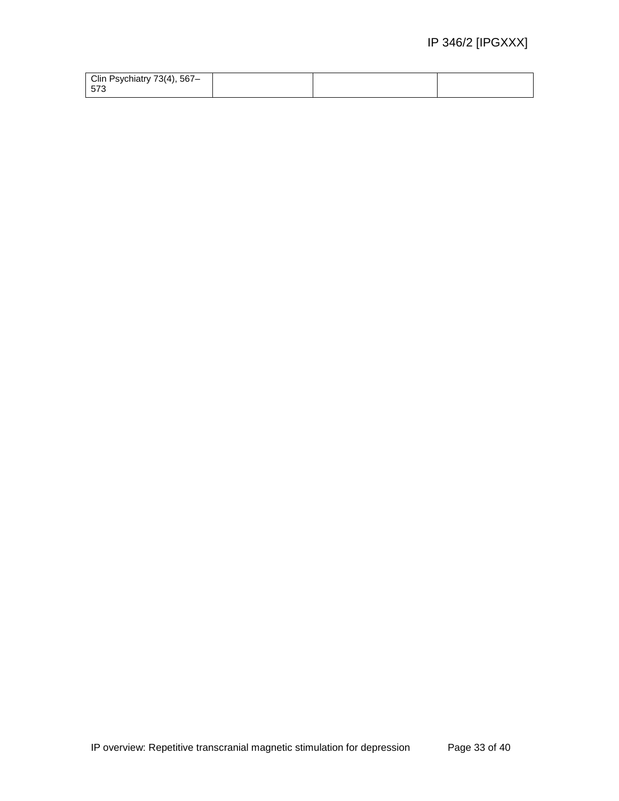| Clin Psychiatry 73(4), 567- |  |  |
|-----------------------------|--|--|
| 573                         |  |  |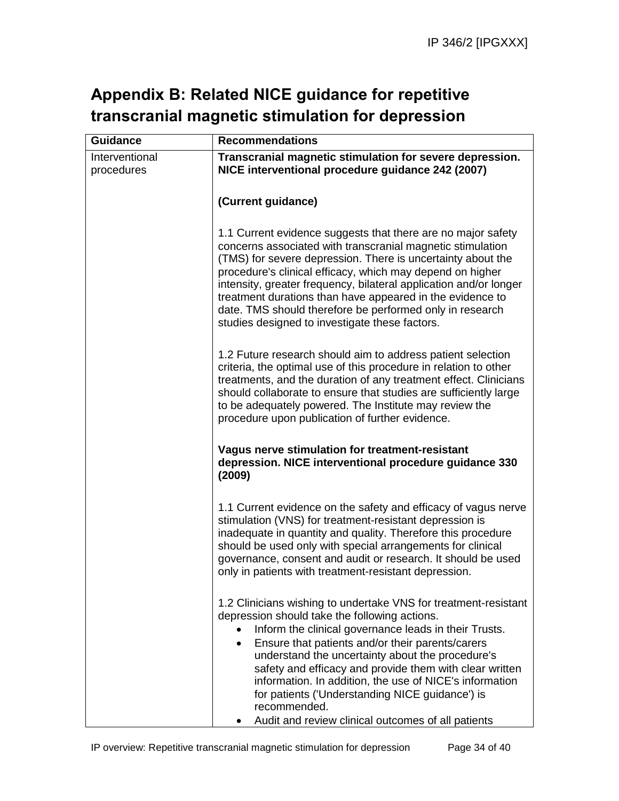# **Appendix B: Related NICE guidance for repetitive transcranial magnetic stimulation for depression**

| <b>Guidance</b> | <b>Recommendations</b>                                                                                                                                                                                                                                                                                                                                                                                                                                                                                                                        |
|-----------------|-----------------------------------------------------------------------------------------------------------------------------------------------------------------------------------------------------------------------------------------------------------------------------------------------------------------------------------------------------------------------------------------------------------------------------------------------------------------------------------------------------------------------------------------------|
| Interventional  | Transcranial magnetic stimulation for severe depression.                                                                                                                                                                                                                                                                                                                                                                                                                                                                                      |
| procedures      | NICE interventional procedure guidance 242 (2007)                                                                                                                                                                                                                                                                                                                                                                                                                                                                                             |
|                 |                                                                                                                                                                                                                                                                                                                                                                                                                                                                                                                                               |
|                 | (Current guidance)                                                                                                                                                                                                                                                                                                                                                                                                                                                                                                                            |
|                 | 1.1 Current evidence suggests that there are no major safety<br>concerns associated with transcranial magnetic stimulation<br>(TMS) for severe depression. There is uncertainty about the<br>procedure's clinical efficacy, which may depend on higher<br>intensity, greater frequency, bilateral application and/or longer<br>treatment durations than have appeared in the evidence to<br>date. TMS should therefore be performed only in research<br>studies designed to investigate these factors.                                        |
|                 | 1.2 Future research should aim to address patient selection<br>criteria, the optimal use of this procedure in relation to other<br>treatments, and the duration of any treatment effect. Clinicians<br>should collaborate to ensure that studies are sufficiently large<br>to be adequately powered. The Institute may review the<br>procedure upon publication of further evidence.                                                                                                                                                          |
|                 | Vagus nerve stimulation for treatment-resistant<br>depression. NICE interventional procedure guidance 330<br>(2009)                                                                                                                                                                                                                                                                                                                                                                                                                           |
|                 | 1.1 Current evidence on the safety and efficacy of vagus nerve<br>stimulation (VNS) for treatment-resistant depression is<br>inadequate in quantity and quality. Therefore this procedure<br>should be used only with special arrangements for clinical<br>governance, consent and audit or research. It should be used<br>only in patients with treatment-resistant depression.                                                                                                                                                              |
|                 | 1.2 Clinicians wishing to undertake VNS for treatment-resistant<br>depression should take the following actions.<br>Inform the clinical governance leads in their Trusts.<br>Ensure that patients and/or their parents/carers<br>$\bullet$<br>understand the uncertainty about the procedure's<br>safety and efficacy and provide them with clear written<br>information. In addition, the use of NICE's information<br>for patients ('Understanding NICE guidance') is<br>recommended.<br>Audit and review clinical outcomes of all patients |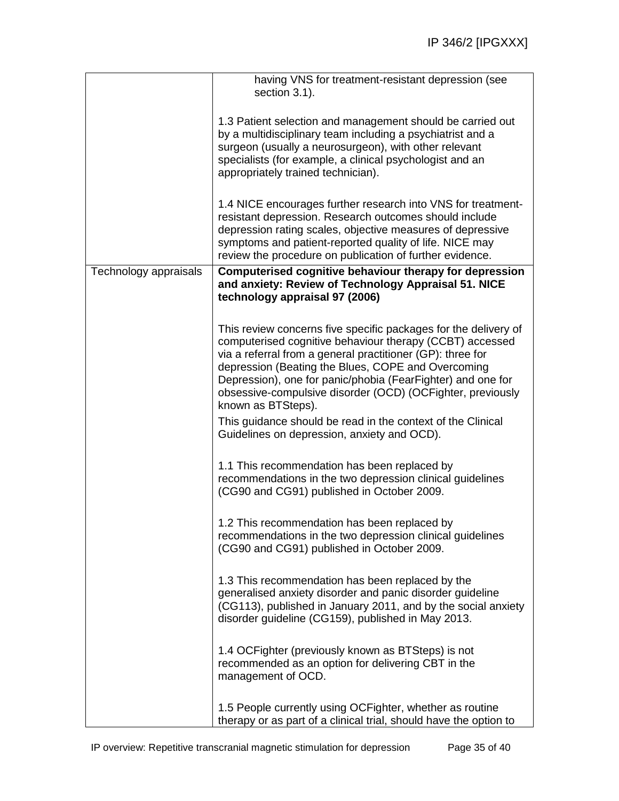|                       | having VNS for treatment-resistant depression (see<br>section 3.1).                                                                                                                                                                                                                                                                                                                                |
|-----------------------|----------------------------------------------------------------------------------------------------------------------------------------------------------------------------------------------------------------------------------------------------------------------------------------------------------------------------------------------------------------------------------------------------|
|                       | 1.3 Patient selection and management should be carried out<br>by a multidisciplinary team including a psychiatrist and a<br>surgeon (usually a neurosurgeon), with other relevant<br>specialists (for example, a clinical psychologist and an<br>appropriately trained technician).                                                                                                                |
|                       | 1.4 NICE encourages further research into VNS for treatment-<br>resistant depression. Research outcomes should include<br>depression rating scales, objective measures of depressive<br>symptoms and patient-reported quality of life. NICE may<br>review the procedure on publication of further evidence.                                                                                        |
| Technology appraisals | Computerised cognitive behaviour therapy for depression<br>and anxiety: Review of Technology Appraisal 51. NICE<br>technology appraisal 97 (2006)                                                                                                                                                                                                                                                  |
|                       | This review concerns five specific packages for the delivery of<br>computerised cognitive behaviour therapy (CCBT) accessed<br>via a referral from a general practitioner (GP): three for<br>depression (Beating the Blues, COPE and Overcoming<br>Depression), one for panic/phobia (FearFighter) and one for<br>obsessive-compulsive disorder (OCD) (OCFighter, previously<br>known as BTSteps). |
|                       | This guidance should be read in the context of the Clinical<br>Guidelines on depression, anxiety and OCD).                                                                                                                                                                                                                                                                                         |
|                       | 1.1 This recommendation has been replaced by<br>recommendations in the two depression clinical guidelines<br>(CG90 and CG91) published in October 2009.                                                                                                                                                                                                                                            |
|                       | 1.2 This recommendation has been replaced by<br>recommendations in the two depression clinical guidelines<br>(CG90 and CG91) published in October 2009.                                                                                                                                                                                                                                            |
|                       | 1.3 This recommendation has been replaced by the<br>generalised anxiety disorder and panic disorder guideline<br>(CG113), published in January 2011, and by the social anxiety<br>disorder guideline (CG159), published in May 2013.                                                                                                                                                               |
|                       | 1.4 OCFighter (previously known as BTSteps) is not<br>recommended as an option for delivering CBT in the<br>management of OCD.                                                                                                                                                                                                                                                                     |
|                       | 1.5 People currently using OCFighter, whether as routine<br>therapy or as part of a clinical trial, should have the option to                                                                                                                                                                                                                                                                      |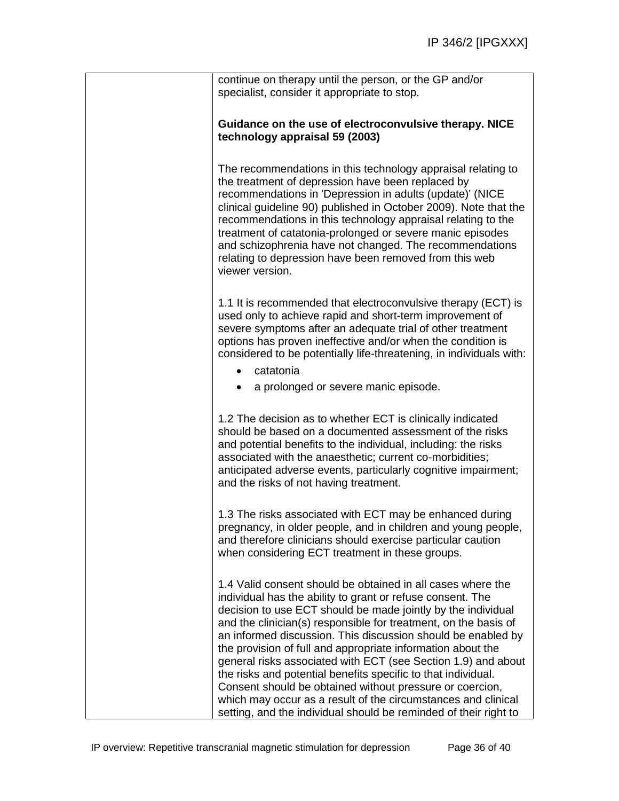| continue on therapy until the person, or the GP and/or<br>specialist, consider it appropriate to stop.                                                                                                                                                                                                                                                                                                                                                                                                                                                                                                                                                                                                                         |
|--------------------------------------------------------------------------------------------------------------------------------------------------------------------------------------------------------------------------------------------------------------------------------------------------------------------------------------------------------------------------------------------------------------------------------------------------------------------------------------------------------------------------------------------------------------------------------------------------------------------------------------------------------------------------------------------------------------------------------|
| Guidance on the use of electroconvulsive therapy. NICE<br>technology appraisal 59 (2003)                                                                                                                                                                                                                                                                                                                                                                                                                                                                                                                                                                                                                                       |
| The recommendations in this technology appraisal relating to<br>the treatment of depression have been replaced by<br>recommendations in 'Depression in adults (update)' (NICE<br>clinical guideline 90) published in October 2009). Note that the<br>recommendations in this technology appraisal relating to the<br>treatment of catatonia-prolonged or severe manic episodes<br>and schizophrenia have not changed. The recommendations<br>relating to depression have been removed from this web<br>viewer version.                                                                                                                                                                                                         |
| 1.1 It is recommended that electroconvulsive therapy (ECT) is<br>used only to achieve rapid and short-term improvement of<br>severe symptoms after an adequate trial of other treatment<br>options has proven ineffective and/or when the condition is<br>considered to be potentially life-threatening, in individuals with:                                                                                                                                                                                                                                                                                                                                                                                                  |
| catatonia<br>a prolonged or severe manic episode.                                                                                                                                                                                                                                                                                                                                                                                                                                                                                                                                                                                                                                                                              |
| 1.2 The decision as to whether ECT is clinically indicated<br>should be based on a documented assessment of the risks<br>and potential benefits to the individual, including: the risks<br>associated with the anaesthetic; current co-morbidities;<br>anticipated adverse events, particularly cognitive impairment;<br>and the risks of not having treatment.                                                                                                                                                                                                                                                                                                                                                                |
| 1.3 The risks associated with ECT may be enhanced during<br>pregnancy, in older people, and in children and young people,<br>and therefore clinicians should exercise particular caution<br>when considering ECT treatment in these groups.                                                                                                                                                                                                                                                                                                                                                                                                                                                                                    |
| 1.4 Valid consent should be obtained in all cases where the<br>individual has the ability to grant or refuse consent. The<br>decision to use ECT should be made jointly by the individual<br>and the clinician(s) responsible for treatment, on the basis of<br>an informed discussion. This discussion should be enabled by<br>the provision of full and appropriate information about the<br>general risks associated with ECT (see Section 1.9) and about<br>the risks and potential benefits specific to that individual.<br>Consent should be obtained without pressure or coercion,<br>which may occur as a result of the circumstances and clinical<br>setting, and the individual should be reminded of their right to |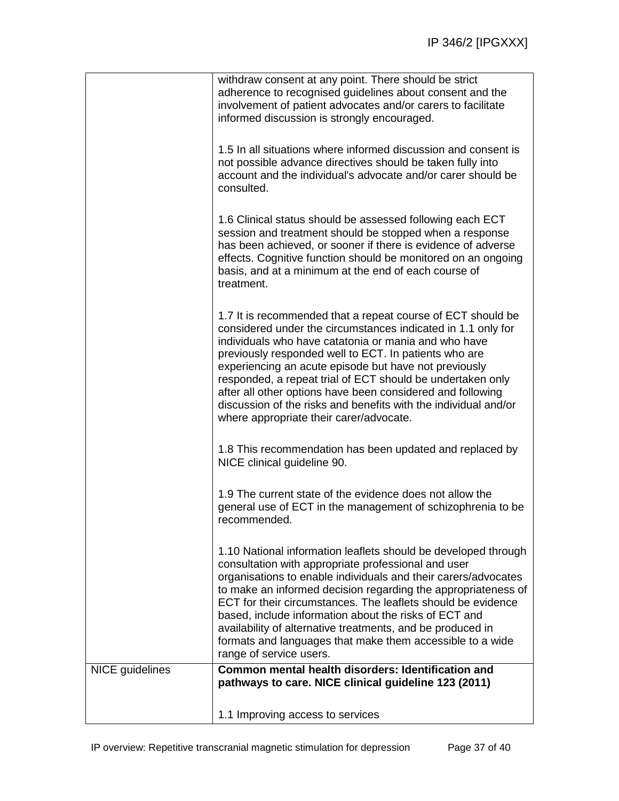|                 | withdraw consent at any point. There should be strict<br>adherence to recognised guidelines about consent and the<br>involvement of patient advocates and/or carers to facilitate<br>informed discussion is strongly encouraged.                                                                                                                                                                                                                                                                                                                |
|-----------------|-------------------------------------------------------------------------------------------------------------------------------------------------------------------------------------------------------------------------------------------------------------------------------------------------------------------------------------------------------------------------------------------------------------------------------------------------------------------------------------------------------------------------------------------------|
|                 | 1.5 In all situations where informed discussion and consent is<br>not possible advance directives should be taken fully into<br>account and the individual's advocate and/or carer should be<br>consulted.                                                                                                                                                                                                                                                                                                                                      |
|                 | 1.6 Clinical status should be assessed following each ECT<br>session and treatment should be stopped when a response<br>has been achieved, or sooner if there is evidence of adverse<br>effects. Cognitive function should be monitored on an ongoing<br>basis, and at a minimum at the end of each course of<br>treatment.                                                                                                                                                                                                                     |
|                 | 1.7 It is recommended that a repeat course of ECT should be<br>considered under the circumstances indicated in 1.1 only for<br>individuals who have catatonia or mania and who have<br>previously responded well to ECT. In patients who are<br>experiencing an acute episode but have not previously<br>responded, a repeat trial of ECT should be undertaken only<br>after all other options have been considered and following<br>discussion of the risks and benefits with the individual and/or<br>where appropriate their carer/advocate. |
|                 | 1.8 This recommendation has been updated and replaced by<br>NICE clinical guideline 90.                                                                                                                                                                                                                                                                                                                                                                                                                                                         |
|                 | 1.9 The current state of the evidence does not allow the<br>general use of ECT in the management of schizophrenia to be<br>recommended.                                                                                                                                                                                                                                                                                                                                                                                                         |
|                 | 1.10 National information leaflets should be developed through<br>consultation with appropriate professional and user<br>organisations to enable individuals and their carers/advocates<br>to make an informed decision regarding the appropriateness of<br>ECT for their circumstances. The leaflets should be evidence<br>based, include information about the risks of ECT and<br>availability of alternative treatments, and be produced in<br>formats and languages that make them accessible to a wide<br>range of service users.         |
| NICE guidelines | Common mental health disorders: Identification and<br>pathways to care. NICE clinical guideline 123 (2011)                                                                                                                                                                                                                                                                                                                                                                                                                                      |
|                 | 1.1 Improving access to services                                                                                                                                                                                                                                                                                                                                                                                                                                                                                                                |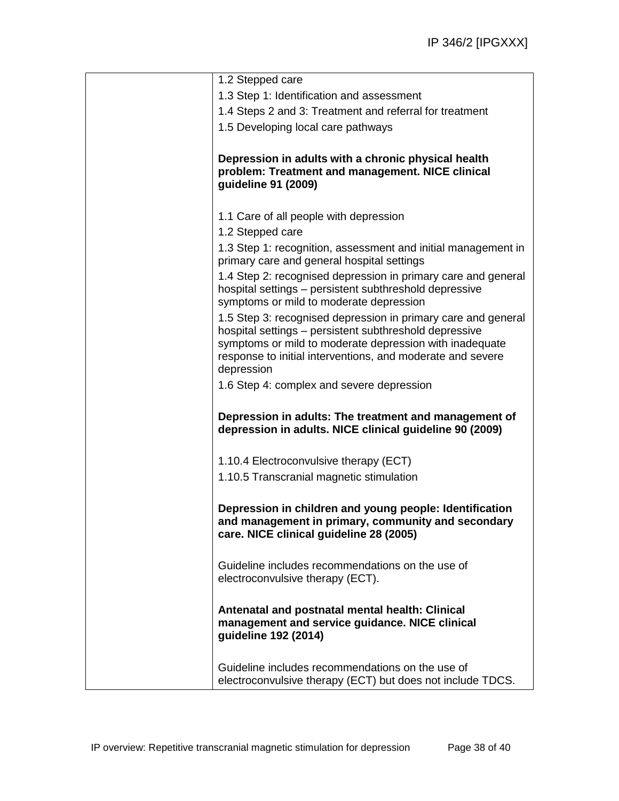| Guideline includes recommendations on the use of<br>electroconvulsive therapy (ECT) but does not include TDCS.                                                                                                                                                                                              |
|-------------------------------------------------------------------------------------------------------------------------------------------------------------------------------------------------------------------------------------------------------------------------------------------------------------|
| Antenatal and postnatal mental health: Clinical<br>management and service guidance. NICE clinical<br>guideline 192 (2014)                                                                                                                                                                                   |
| Guideline includes recommendations on the use of<br>electroconvulsive therapy (ECT).                                                                                                                                                                                                                        |
| Depression in children and young people: Identification<br>and management in primary, community and secondary<br>care. NICE clinical guideline 28 (2005)                                                                                                                                                    |
| 1.10.4 Electroconvulsive therapy (ECT)<br>1.10.5 Transcranial magnetic stimulation                                                                                                                                                                                                                          |
| Depression in adults: The treatment and management of<br>depression in adults. NICE clinical guideline 90 (2009)                                                                                                                                                                                            |
| 1.5 Step 3: recognised depression in primary care and general<br>hospital settings - persistent subthreshold depressive<br>symptoms or mild to moderate depression with inadequate<br>response to initial interventions, and moderate and severe<br>depression<br>1.6 Step 4: complex and severe depression |
| 1.3 Step 1: recognition, assessment and initial management in<br>primary care and general hospital settings<br>1.4 Step 2: recognised depression in primary care and general<br>hospital settings - persistent subthreshold depressive<br>symptoms or mild to moderate depression                           |
| 1.1 Care of all people with depression<br>1.2 Stepped care                                                                                                                                                                                                                                                  |
| Depression in adults with a chronic physical health<br>problem: Treatment and management. NICE clinical<br>guideline 91 (2009)                                                                                                                                                                              |
| 1.4 Steps 2 and 3: Treatment and referral for treatment<br>1.5 Developing local care pathways                                                                                                                                                                                                               |
| 1.3 Step 1: Identification and assessment                                                                                                                                                                                                                                                                   |
| 1.2 Stepped care                                                                                                                                                                                                                                                                                            |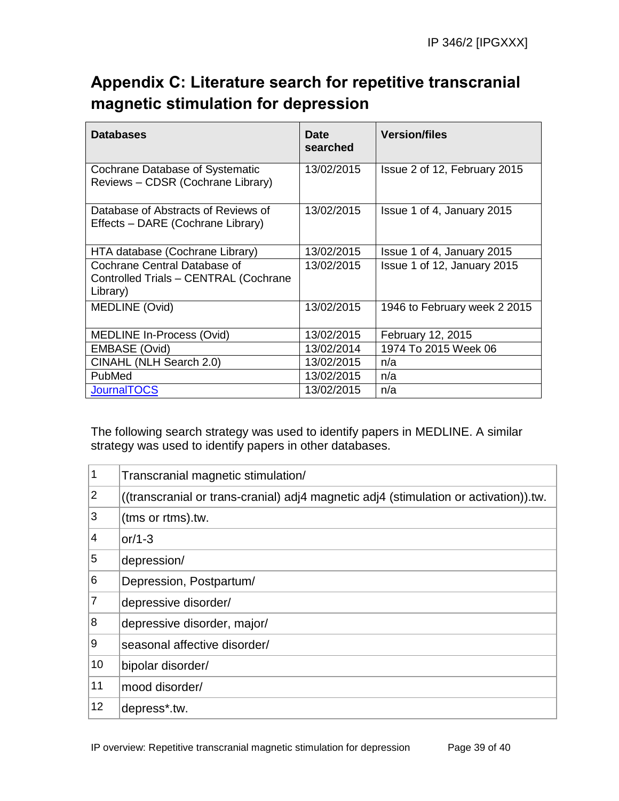# **Appendix C: Literature search for repetitive transcranial magnetic stimulation for depression**

| <b>Databases</b>                                                                  | <b>Date</b><br>searched | <b>Version/files</b>         |
|-----------------------------------------------------------------------------------|-------------------------|------------------------------|
| Cochrane Database of Systematic<br>Reviews - CDSR (Cochrane Library)              | 13/02/2015              | Issue 2 of 12, February 2015 |
| Database of Abstracts of Reviews of<br>Effects - DARE (Cochrane Library)          | 13/02/2015              | Issue 1 of 4, January 2015   |
| HTA database (Cochrane Library)                                                   | 13/02/2015              | Issue 1 of 4, January 2015   |
| Cochrane Central Database of<br>Controlled Trials - CENTRAL (Cochrane<br>Library) | 13/02/2015              | Issue 1 of 12, January 2015  |
| MEDLINE (Ovid)                                                                    | 13/02/2015              | 1946 to February week 2 2015 |
| <b>MEDLINE In-Process (Ovid)</b>                                                  | 13/02/2015              | February 12, 2015            |
| EMBASE (Ovid)                                                                     | 13/02/2014              | 1974 To 2015 Week 06         |
| CINAHL (NLH Search 2.0)                                                           | 13/02/2015              | n/a                          |
| PubMed                                                                            | 13/02/2015              | n/a                          |
| <b>JournalTOCS</b>                                                                | 13/02/2015              | n/a                          |

The following search strategy was used to identify papers in MEDLINE. A similar strategy was used to identify papers in other databases.

| $\mathbf{1}$     | Transcranial magnetic stimulation/                                                   |
|------------------|--------------------------------------------------------------------------------------|
| $ 2\rangle$      | ((transcranial or trans-cranial) adj4 magnetic adj4 (stimulation or activation)).tw. |
| $\overline{3}$   | (tms or rtms).tw.                                                                    |
| 4                | or/1-3                                                                               |
| 5                | depression/                                                                          |
| 6                | Depression, Postpartum/                                                              |
| $\overline{7}$   | depressive disorder/                                                                 |
| $\boldsymbol{8}$ | depressive disorder, major/                                                          |
| 9                | seasonal affective disorder/                                                         |
| 10               | bipolar disorder/                                                                    |
| 11               | mood disorder/                                                                       |
| 12               | depress*.tw.                                                                         |